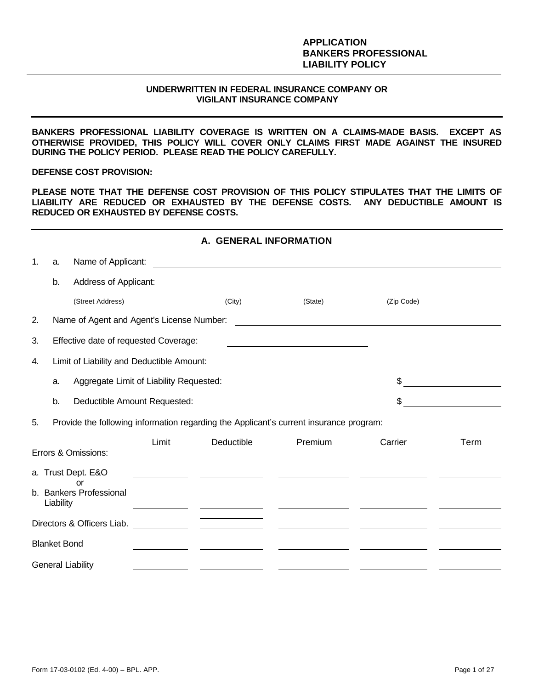#### **APPLICATION BANKERS PROFESSIONAL LIABILITY POLICY**

#### **UNDERWRITTEN IN FEDERAL INSURANCE COMPANY OR VIGILANT INSURANCE COMPANY**

**BANKERS PROFESSIONAL LIABILITY COVERAGE IS WRITTEN ON A CLAIMS-MADE BASIS. EXCEPT AS OTHERWISE PROVIDED, THIS POLICY WILL COVER ONLY CLAIMS FIRST MADE AGAINST THE INSURED DURING THE POLICY PERIOD. PLEASE READ THE POLICY CAREFULLY.**

#### **DEFENSE COST PROVISION:**

**PLEASE NOTE THAT THE DEFENSE COST PROVISION OF THIS POLICY STIPULATES THAT THE LIMITS OF LIABILITY ARE REDUCED OR EXHAUSTED BY THE DEFENSE COSTS. ANY DEDUCTIBLE AMOUNT IS REDUCED OR EXHAUSTED BY DEFENSE COSTS.**

|                | A. GENERAL INFORMATION |                                                     |       |                                                                                        |                                                     |            |      |  |
|----------------|------------------------|-----------------------------------------------------|-------|----------------------------------------------------------------------------------------|-----------------------------------------------------|------------|------|--|
| $\mathbf{1}$ . | a.                     | Name of Applicant:                                  |       | <u> 1989 - John Stein, Amerikaansk politiker (</u>                                     |                                                     |            |      |  |
|                | b.                     | Address of Applicant:                               |       |                                                                                        |                                                     |            |      |  |
|                |                        | (Street Address)                                    |       | (City)                                                                                 | (State)                                             | (Zip Code) |      |  |
| 2.             |                        | Name of Agent and Agent's License Number:           |       |                                                                                        |                                                     |            |      |  |
| 3.             |                        | Effective date of requested Coverage:               |       |                                                                                        |                                                     |            |      |  |
| 4.             |                        | Limit of Liability and Deductible Amount:           |       |                                                                                        |                                                     |            |      |  |
|                | a.                     | Aggregate Limit of Liability Requested:             |       |                                                                                        |                                                     | \$         |      |  |
|                | b.                     | Deductible Amount Requested:                        |       |                                                                                        |                                                     | \$         |      |  |
| 5.             |                        |                                                     |       | Provide the following information regarding the Applicant's current insurance program: |                                                     |            |      |  |
|                |                        | Errors & Omissions:                                 | Limit | Deductible                                                                             | Premium                                             | Carrier    | Term |  |
|                | Liability              | a. Trust Dept. E&O<br>nr<br>b. Bankers Professional |       |                                                                                        | <u> 1989 - Andrea Station Barbara, amerikan per</u> |            |      |  |
|                |                        | Directors & Officers Liab.                          |       |                                                                                        |                                                     |            |      |  |
|                | <b>Blanket Bond</b>    |                                                     |       |                                                                                        |                                                     |            |      |  |
|                |                        | <b>General Liability</b>                            |       |                                                                                        |                                                     |            |      |  |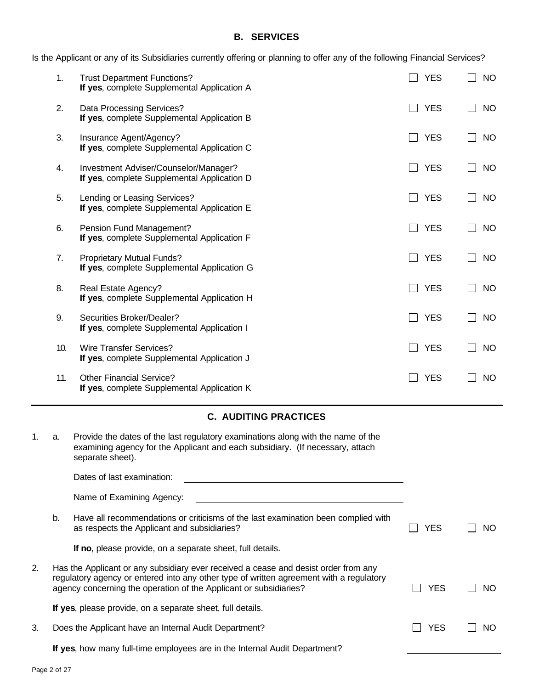# **B. SERVICES**

Is the Applicant or any of its Subsidiaries currently offering or planning to offer any of the following Financial Services?

| 1.  | <b>Trust Department Functions?</b><br>If yes, complete Supplemental Application A    | <b>YES</b>                             | <b>NO</b> |
|-----|--------------------------------------------------------------------------------------|----------------------------------------|-----------|
| 2.  | Data Processing Services?<br>If yes, complete Supplemental Application B             | <b>YES</b>                             | NO.       |
| 3.  | Insurance Agent/Agency?<br>If yes, complete Supplemental Application C               | <b>YES</b><br>$\blacksquare$           | <b>NO</b> |
| 4.  | Investment Adviser/Counselor/Manager?<br>If yes, complete Supplemental Application D | <b>YES</b>                             | <b>NO</b> |
| 5.  | Lending or Leasing Services?<br>If yes, complete Supplemental Application E          | <b>YES</b><br>$\blacksquare$           | <b>NO</b> |
| 6.  | Pension Fund Management?<br>If yes, complete Supplemental Application F              | <b>YES</b><br>$\overline{\phantom{a}}$ | <b>NO</b> |
| 7.  | <b>Proprietary Mutual Funds?</b><br>If yes, complete Supplemental Application G      | <b>YES</b><br>$\Box$                   | <b>NO</b> |
| 8.  | Real Estate Agency?<br>If yes, complete Supplemental Application H                   | <b>YES</b><br>$\blacksquare$           | <b>NO</b> |
| 9.  | Securities Broker/Dealer?<br>If yes, complete Supplemental Application I             | <b>YES</b><br>$\blacksquare$           | <b>NO</b> |
| 10. | <b>Wire Transfer Services?</b><br>If yes, complete Supplemental Application J        | <b>YES</b>                             | <b>NO</b> |
| 11. | <b>Other Financial Service?</b><br>If yes, complete Supplemental Application K       | <b>YES</b>                             | NO        |

## **C. AUDITING PRACTICES**

| 1. | a. | Provide the dates of the last regulatory examinations along with the name of the<br>examining agency for the Applicant and each subsidiary. (If necessary, attach<br>separate sheet).                                                               |     |     |
|----|----|-----------------------------------------------------------------------------------------------------------------------------------------------------------------------------------------------------------------------------------------------------|-----|-----|
|    |    | Dates of last examination:                                                                                                                                                                                                                          |     |     |
|    |    | Name of Examining Agency:                                                                                                                                                                                                                           |     |     |
|    | b. | Have all recommendations or criticisms of the last examination been complied with<br>as respects the Applicant and subsidiaries?                                                                                                                    | YES | NO. |
|    |    | If no, please provide, on a separate sheet, full details.                                                                                                                                                                                           |     |     |
| 2. |    | Has the Applicant or any subsidiary ever received a cease and desist order from any<br>regulatory agency or entered into any other type of written agreement with a regulatory<br>agency concerning the operation of the Applicant or subsidiaries? | YES | NO. |
|    |    | If yes, please provide, on a separate sheet, full details.                                                                                                                                                                                          |     |     |
| 3. |    | Does the Applicant have an Internal Audit Department?                                                                                                                                                                                               | YES | NO. |
|    |    | If yes, how many full-time employees are in the Internal Audit Department?                                                                                                                                                                          |     |     |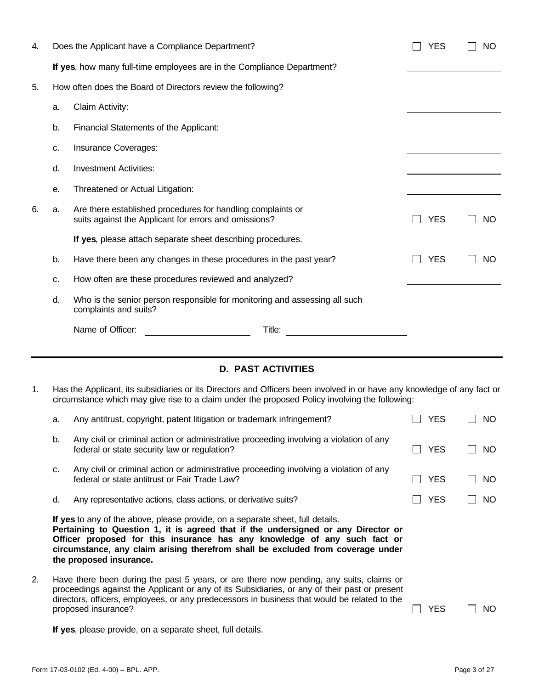| 4. |    | Does the Applicant have a Compliance Department?                                                                     |  | <b>YES</b> | <b>NO</b> |
|----|----|----------------------------------------------------------------------------------------------------------------------|--|------------|-----------|
|    |    | If yes, how many full-time employees are in the Compliance Department?                                               |  |            |           |
| 5. |    | How often does the Board of Directors review the following?                                                          |  |            |           |
|    | a. | Claim Activity:                                                                                                      |  |            |           |
|    | b. | Financial Statements of the Applicant:                                                                               |  |            |           |
|    | c. | Insurance Coverages:                                                                                                 |  |            |           |
|    | d. | <b>Investment Activities:</b>                                                                                        |  |            |           |
|    | е. | Threatened or Actual Litigation:                                                                                     |  |            |           |
| 6. | a. | Are there established procedures for handling complaints or<br>suits against the Applicant for errors and omissions? |  | <b>YES</b> | <b>NO</b> |
|    |    | If yes, please attach separate sheet describing procedures.                                                          |  |            |           |
|    | b. | Have there been any changes in these procedures in the past year?                                                    |  | <b>YES</b> | <b>NO</b> |
|    | c. | How often are these procedures reviewed and analyzed?                                                                |  |            |           |
|    | d. | Who is the senior person responsible for monitoring and assessing all such<br>complaints and suits?                  |  |            |           |
|    |    | Name of Officer:<br>Title:                                                                                           |  |            |           |
|    |    |                                                                                                                      |  |            |           |

# **D. PAST ACTIVITIES**

1. Has the Applicant, its subsidiaries or its Directors and Officers been involved in or have any knowledge of any fact or circumstance which may give rise to a claim under the proposed Policy involving the following:

| a. | Any antitrust, copyright, patent litigation or trademark infringement?                                                                  |                                                                                                                                                                                                                                                                                                                                                                                                                                                                                                                                                                                                                                                                                   | NO.                                                  |
|----|-----------------------------------------------------------------------------------------------------------------------------------------|-----------------------------------------------------------------------------------------------------------------------------------------------------------------------------------------------------------------------------------------------------------------------------------------------------------------------------------------------------------------------------------------------------------------------------------------------------------------------------------------------------------------------------------------------------------------------------------------------------------------------------------------------------------------------------------|------------------------------------------------------|
| b. | Any civil or criminal action or administrative proceeding involving a violation of any<br>federal or state security law or regulation?  |                                                                                                                                                                                                                                                                                                                                                                                                                                                                                                                                                                                                                                                                                   | NO.                                                  |
| c. | Any civil or criminal action or administrative proceeding involving a violation of any<br>federal or state antitrust or Fair Trade Law? |                                                                                                                                                                                                                                                                                                                                                                                                                                                                                                                                                                                                                                                                                   | NO.                                                  |
| d. | Any representative actions, class actions, or derivative suits?                                                                         |                                                                                                                                                                                                                                                                                                                                                                                                                                                                                                                                                                                                                                                                                   | NO.                                                  |
|    |                                                                                                                                         |                                                                                                                                                                                                                                                                                                                                                                                                                                                                                                                                                                                                                                                                                   |                                                      |
|    |                                                                                                                                         |                                                                                                                                                                                                                                                                                                                                                                                                                                                                                                                                                                                                                                                                                   | NO.                                                  |
|    |                                                                                                                                         | If yes to any of the above, please provide, on a separate sheet, full details.<br>Pertaining to Question 1, it is agreed that if the undersigned or any Director or<br>Officer proposed for this insurance has any knowledge of any such fact or<br>circumstance, any claim arising therefrom shall be excluded from coverage under<br>the proposed insurance.<br>Have there been during the past 5 years, or are there now pending, any suits, claims or<br>proceedings against the Applicant or any of its Subsidiaries, or any of their past or present<br>directors, officers, employees, or any predecessors in business that would be related to the<br>proposed insurance? | <b>YES</b><br><b>YES</b><br><b>YES</b><br>YES<br>YES |

**If yes**, please provide, on a separate sheet, full details.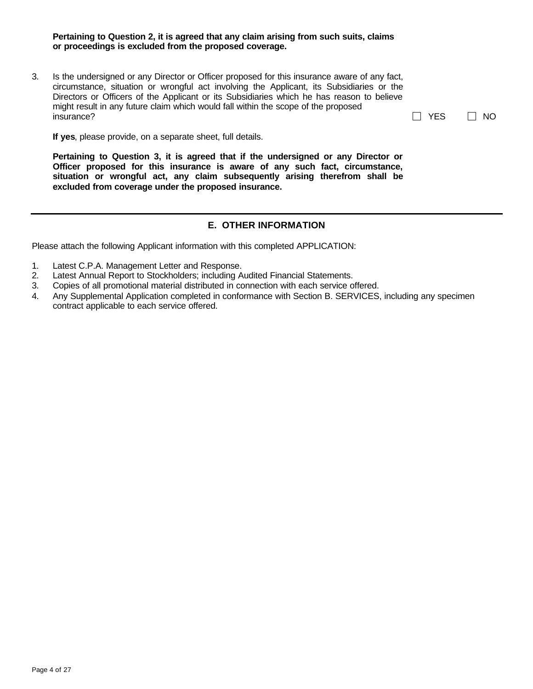**Pertaining to Question 2, it is agreed that any claim arising from such suits, claims or proceedings is excluded from the proposed coverage.**

3. Is the undersigned or any Director or Officer proposed for this insurance aware of any fact, circumstance, situation or wrongful act involving the Applicant, its Subsidiaries or the Directors or Officers of the Applicant or its Subsidiaries which he has reason to believe might result in any future claim which would fall within the scope of the proposed insurance?  $\Box$  YES  $\Box$  NO

| VE O<br>-5 | NΟ |
|------------|----|

**If yes**, please provide, on a separate sheet, full details.

**Pertaining to Question 3, it is agreed that if the undersigned or any Director or Officer proposed for this insurance is aware of any such fact, circumstance, situation or wrongful act, any claim subsequently arising therefrom shall be excluded from coverage under the proposed insurance.**

# **E. OTHER INFORMATION**

Please attach the following Applicant information with this completed APPLICATION:

- 1. Latest C.P.A. Management Letter and Response.
- 2. Latest Annual Report to Stockholders; including Audited Financial Statements.
- 3. Copies of all promotional material distributed in connection with each service offered.
- 4. Any Supplemental Application completed in conformance with Section B. SERVICES, including any specimen contract applicable to each service offered.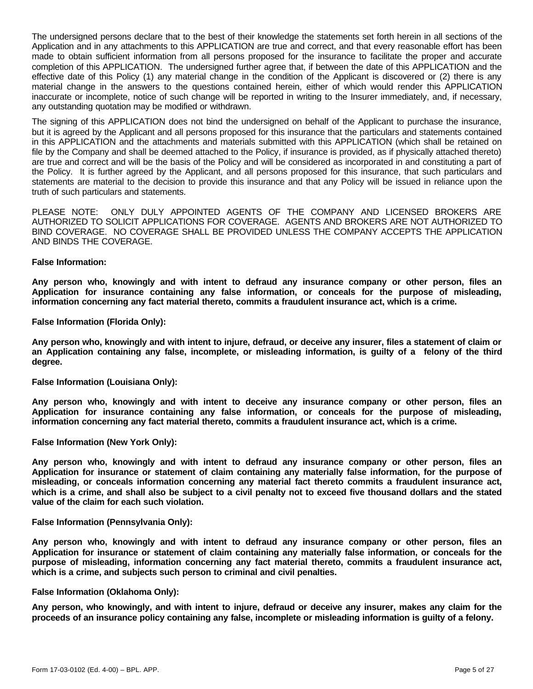The undersigned persons declare that to the best of their knowledge the statements set forth herein in all sections of the Application and in any attachments to this APPLICATION are true and correct, and that every reasonable effort has been made to obtain sufficient information from all persons proposed for the insurance to facilitate the proper and accurate completion of this APPLICATION. The undersigned further agree that, if between the date of this APPLICATION and the effective date of this Policy (1) any material change in the condition of the Applicant is discovered or (2) there is any material change in the answers to the questions contained herein, either of which would render this APPLICATION inaccurate or incomplete, notice of such change will be reported in writing to the Insurer immediately, and, if necessary, any outstanding quotation may be modified or withdrawn.

The signing of this APPLICATION does not bind the undersigned on behalf of the Applicant to purchase the insurance, but it is agreed by the Applicant and all persons proposed for this insurance that the particulars and statements contained in this APPLICATION and the attachments and materials submitted with this APPLICATION (which shall be retained on file by the Company and shall be deemed attached to the Policy, if insurance is provided, as if physically attached thereto) are true and correct and will be the basis of the Policy and will be considered as incorporated in and constituting a part of the Policy. It is further agreed by the Applicant, and all persons proposed for this insurance, that such particulars and statements are material to the decision to provide this insurance and that any Policy will be issued in reliance upon the truth of such particulars and statements.

PLEASE NOTE: ONLY DULY APPOINTED AGENTS OF THE COMPANY AND LICENSED BROKERS ARE AUTHORIZED TO SOLICIT APPLICATIONS FOR COVERAGE. AGENTS AND BROKERS ARE NOT AUTHORIZED TO BIND COVERAGE. NO COVERAGE SHALL BE PROVIDED UNLESS THE COMPANY ACCEPTS THE APPLICATION AND BINDS THE COVERAGE.

#### **False Information:**

**Any person who, knowingly and with intent to defraud any insurance company or other person, files an Application for insurance containing any false information, or conceals for the purpose of misleading, information concerning any fact material thereto, commits a fraudulent insurance act, which is a crime.**

**False Information (Florida Only):**

**Any person who, knowingly and with intent to injure, defraud, or deceive any insurer, files a statement of claim or an Application containing any false, incomplete, or misleading information, is guilty of a felony of the third degree.**

#### **False Information (Louisiana Only):**

**Any person who, knowingly and with intent to deceive any insurance company or other person, files an Application for insurance containing any false information, or conceals for the purpose of misleading, information concerning any fact material thereto, commits a fraudulent insurance act, which is a crime.**

#### **False Information (New York Only):**

**Any person who, knowingly and with intent to defraud any insurance company or other person, files an Application for insurance or statement of claim containing any materially false information, for the purpose of misleading, or conceals information concerning any material fact thereto commits a fraudulent insurance act, which is a crime, and shall also be subject to a civil penalty not to exceed five thousand dollars and the stated value of the claim for each such violation.**

#### **False Information (Pennsylvania Only):**

**Any person who, knowingly and with intent to defraud any insurance company or other person, files an Application for insurance or statement of claim containing any materially false information, or conceals for the purpose of misleading, information concerning any fact material thereto, commits a fraudulent insurance act, which is a crime, and subjects such person to criminal and civil penalties.**

#### **False Information (Oklahoma Only):**

**Any person, who knowingly, and with intent to injure, defraud or deceive any insurer, makes any claim for the proceeds of an insurance policy containing any false, incomplete or misleading information is guilty of a felony.**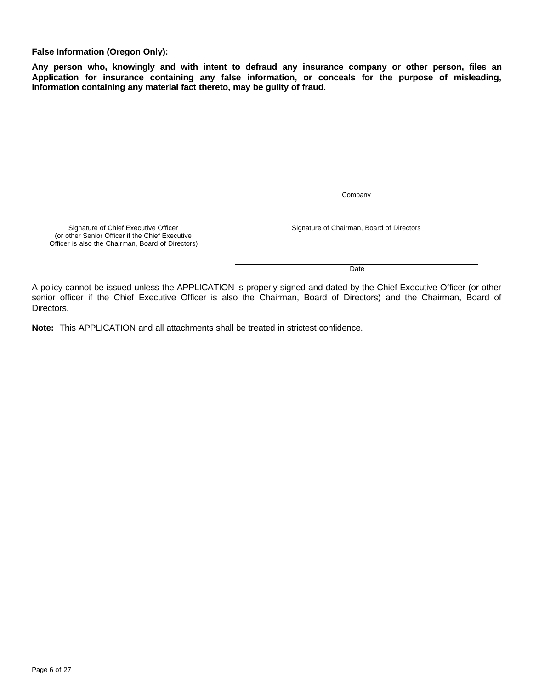**False Information (Oregon Only):**

**Any person who, knowingly and with intent to defraud any insurance company or other person, files an Application for insurance containing any false information, or conceals for the purpose of misleading, information containing any material fact thereto, may be guilty of fraud.**

**Company** 

(or other Senior Officer if the Chief Executive Officer is also the Chairman, Board of Directors)

Signature of Chief Executive Officer Signature of Chairman, Board of Directors

Date

A policy cannot be issued unless the APPLICATION is properly signed and dated by the Chief Executive Officer (or other senior officer if the Chief Executive Officer is also the Chairman, Board of Directors) and the Chairman, Board of Directors.

**Note:** This APPLICATION and all attachments shall be treated in strictest confidence.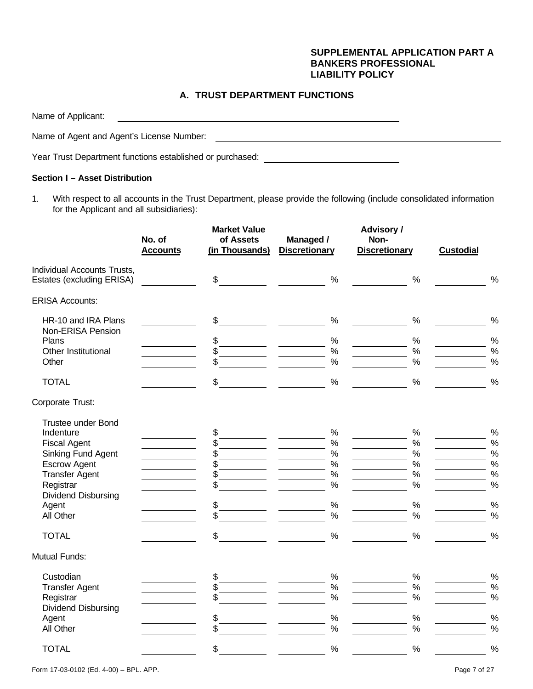#### **SUPPLEMENTAL APPLICATION PART A BANKERS PROFESSIONAL LIABILITY POLICY**

# **A. TRUST DEPARTMENT FUNCTIONS**

Name of Applicant: Name of Agent and Agent's License Number:

Year Trust Department functions established or purchased: \_\_\_\_\_\_\_\_\_\_\_\_\_\_\_\_\_\_\_\_\_\_

## **Section I – Asset Distribution**

1. With respect to all accounts in the Trust Department, please provide the following (include consolidated information for the Applicant and all subsidiaries):

|                                                          | No. of<br><b>Accounts</b> | <b>Market Value</b><br>of Assets<br>(in Thousands) | Managed /<br><b>Discretionary</b> | <b>Advisory /</b><br>Non-<br><b>Discretionary</b> | <b>Custodial</b> |
|----------------------------------------------------------|---------------------------|----------------------------------------------------|-----------------------------------|---------------------------------------------------|------------------|
| Individual Accounts Trusts,<br>Estates (excluding ERISA) |                           | $\frac{1}{2}$                                      | $\%$                              | $\%$                                              | $\%$             |
| <b>ERISA Accounts:</b>                                   |                           |                                                    |                                   |                                                   |                  |
| HR-10 and IRA Plans<br>Non-ERISA Pension                 |                           | \$                                                 | $\%$                              | $\%$                                              | $\%$             |
| Plans                                                    |                           | \$                                                 | $\%$                              | $\%$                                              | $\%$             |
| Other Institutional                                      |                           | \$                                                 | $\%$                              | $\%$                                              | $\%$             |
| Other                                                    |                           | \$                                                 | $\%$                              | $\frac{0}{0}$                                     | $\%$             |
| <b>TOTAL</b>                                             |                           | \$                                                 | $\%$                              | $\%$                                              | $\frac{0}{0}$    |
| Corporate Trust:                                         |                           |                                                    |                                   |                                                   |                  |
| <b>Trustee under Bond</b>                                |                           |                                                    |                                   |                                                   |                  |
| Indenture<br><b>Fiscal Agent</b>                         |                           | \$                                                 | $\%$<br>$\%$                      | $\%$<br>$\%$                                      | $\%$<br>$\%$     |
| Sinking Fund Agent                                       |                           |                                                    | $\%$                              | $\%$                                              | $\%$             |
| <b>Escrow Agent</b>                                      |                           |                                                    | $\%$                              | $\%$                                              | $\%$             |
| <b>Transfer Agent</b>                                    |                           | \$                                                 | $\%$                              | $\%$                                              | $\%$             |
| Registrar                                                |                           | \$                                                 | $\%$                              | $\%$                                              | $\%$             |
| <b>Dividend Disbursing</b>                               |                           |                                                    |                                   |                                                   |                  |
| Agent                                                    |                           | \$                                                 | $\%$                              | $\%$                                              | $\%$             |
| All Other                                                |                           | \$                                                 | $\%$                              | $\%$                                              | $\%$             |
| <b>TOTAL</b>                                             |                           | \$                                                 | $\%$                              | $\%$                                              | $\frac{0}{0}$    |
| <b>Mutual Funds:</b>                                     |                           |                                                    |                                   |                                                   |                  |
| Custodian                                                |                           | \$                                                 | $\%$                              | $\%$                                              | $\%$             |
| <b>Transfer Agent</b>                                    |                           | \$                                                 | $\%$                              | $\%$                                              | $\%$             |
| Registrar<br><b>Dividend Disbursing</b>                  |                           | \$                                                 | $\%$                              | $\%$                                              | $\%$             |
| Agent                                                    |                           | \$                                                 | $\%$                              | $\%$                                              | $\%$             |
| All Other                                                |                           | \$                                                 | $\%$                              | $\%$                                              | $\frac{0}{0}$    |
| <b>TOTAL</b>                                             |                           | \$                                                 | $\%$                              | %                                                 | $\%$             |

Form 17-03-0102 (Ed. 4-00) – BPL. APP. Page 7 of 27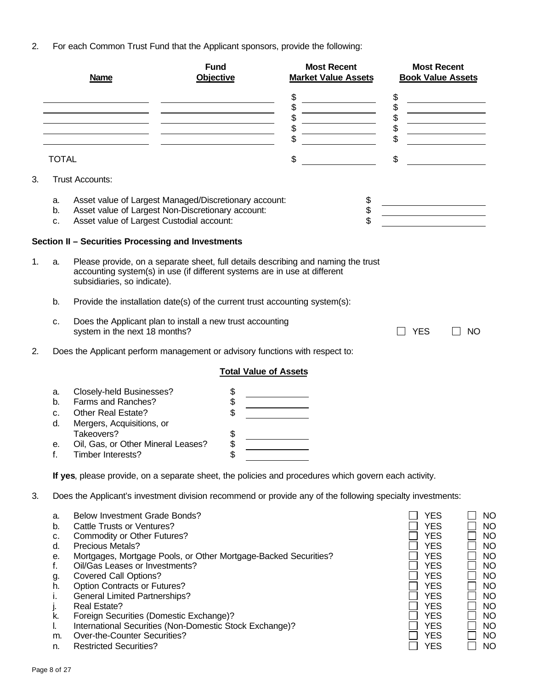2. For each Common Trust Fund that the Applicant sponsors, provide the following:

|    |                                                    | <b>Name</b>                                                                                                                                                                                                                                                                                                                                                             | <b>Fund</b><br>Objective                                                                                                                                                                                                                                                                                                                                             | <b>Most Recent</b><br><b>Market Value Assets</b> |                                                                                                                                          | <b>Most Recent</b><br><b>Book Value Assets</b>                                                                                 |
|----|----------------------------------------------------|-------------------------------------------------------------------------------------------------------------------------------------------------------------------------------------------------------------------------------------------------------------------------------------------------------------------------------------------------------------------------|----------------------------------------------------------------------------------------------------------------------------------------------------------------------------------------------------------------------------------------------------------------------------------------------------------------------------------------------------------------------|--------------------------------------------------|------------------------------------------------------------------------------------------------------------------------------------------|--------------------------------------------------------------------------------------------------------------------------------|
|    |                                                    |                                                                                                                                                                                                                                                                                                                                                                         | <u> 1980 - Johann Barn, mars ann an t-Amhain Aonaich an t-Aonaich an t-Aonaich ann an t-Aonaich ann an t-Aonaich</u><br><u> 1989 - Johann Barn, mars eta bainar eta bainar eta baina eta baina eta baina eta baina eta baina eta baina e</u><br><u> 1980 - Johann Barn, mars ann an t-Amhain Aonaich an t-Aonaich an t-Aonaich ann an t-Aonaich ann an t-Aonaich</u> | \$<br>\$<br>\$<br>\$<br>\$                       | 88888                                                                                                                                    | <u> 1980 - Johann Barnett, fransk politik (</u>                                                                                |
|    | <b>TOTAL</b>                                       |                                                                                                                                                                                                                                                                                                                                                                         |                                                                                                                                                                                                                                                                                                                                                                      | \$                                               | \$                                                                                                                                       |                                                                                                                                |
| 3. |                                                    | <b>Trust Accounts:</b>                                                                                                                                                                                                                                                                                                                                                  |                                                                                                                                                                                                                                                                                                                                                                      |                                                  |                                                                                                                                          |                                                                                                                                |
|    | a.<br>b.<br>c.                                     | Asset value of Largest Managed/Discretionary account:<br>Asset value of Largest Non-Discretionary account:<br>Asset value of Largest Custodial account:                                                                                                                                                                                                                 |                                                                                                                                                                                                                                                                                                                                                                      | \$<br>\$                                         |                                                                                                                                          |                                                                                                                                |
|    |                                                    | Section II - Securities Processing and Investments                                                                                                                                                                                                                                                                                                                      |                                                                                                                                                                                                                                                                                                                                                                      |                                                  |                                                                                                                                          |                                                                                                                                |
| 1. | a.                                                 | Please provide, on a separate sheet, full details describing and naming the trust<br>accounting system(s) in use (if different systems are in use at different<br>subsidiaries, so indicate).                                                                                                                                                                           |                                                                                                                                                                                                                                                                                                                                                                      |                                                  |                                                                                                                                          |                                                                                                                                |
|    | b.                                                 | Provide the installation date(s) of the current trust accounting system(s):                                                                                                                                                                                                                                                                                             |                                                                                                                                                                                                                                                                                                                                                                      |                                                  |                                                                                                                                          |                                                                                                                                |
|    | c.                                                 | Does the Applicant plan to install a new trust accounting<br>system in the next 18 months?                                                                                                                                                                                                                                                                              |                                                                                                                                                                                                                                                                                                                                                                      |                                                  | <b>YES</b>                                                                                                                               | <b>NO</b>                                                                                                                      |
| 2. |                                                    | Does the Applicant perform management or advisory functions with respect to:                                                                                                                                                                                                                                                                                            |                                                                                                                                                                                                                                                                                                                                                                      |                                                  |                                                                                                                                          |                                                                                                                                |
|    |                                                    |                                                                                                                                                                                                                                                                                                                                                                         | <b>Total Value of Assets</b>                                                                                                                                                                                                                                                                                                                                         |                                                  |                                                                                                                                          |                                                                                                                                |
|    | a.<br>b.<br>c.<br>d.<br>е.<br>f.                   | Closely-held Businesses?<br>Farms and Ranches?<br><b>Other Real Estate?</b><br>Mergers, Acquisitions, or<br>Takeovers?<br>Oil, Gas, or Other Mineral Leases?<br>Timber Interests?                                                                                                                                                                                       | \$<br>\$<br>\$<br>\$<br>\$<br>\$                                                                                                                                                                                                                                                                                                                                     |                                                  |                                                                                                                                          |                                                                                                                                |
|    |                                                    | If yes, please provide, on a separate sheet, the policies and procedures which govern each activity.                                                                                                                                                                                                                                                                    |                                                                                                                                                                                                                                                                                                                                                                      |                                                  |                                                                                                                                          |                                                                                                                                |
| 3. |                                                    | Does the Applicant's investment division recommend or provide any of the following specialty investments:                                                                                                                                                                                                                                                               |                                                                                                                                                                                                                                                                                                                                                                      |                                                  |                                                                                                                                          |                                                                                                                                |
|    | а.<br>b.<br>c.<br>d.<br>е.<br>f.<br>g.<br>h.<br>۱. | <b>Below Investment Grade Bonds?</b><br><b>Cattle Trusts or Ventures?</b><br>Commodity or Other Futures?<br>Precious Metals?<br>Mortgages, Mortgage Pools, or Other Mortgage-Backed Securities?<br>Oil/Gas Leases or Investments?<br><b>Covered Call Options?</b><br><b>Option Contracts or Futures?</b><br><b>General Limited Partnerships?</b><br><b>Real Estate?</b> |                                                                                                                                                                                                                                                                                                                                                                      |                                                  | <b>YES</b><br><b>YES</b><br><b>YES</b><br><b>YES</b><br><b>YES</b><br><b>YES</b><br><b>YES</b><br><b>YES</b><br><b>YES</b><br><b>YES</b> | <b>NO</b><br><b>NO</b><br><b>NO</b><br><b>NO</b><br><b>NO</b><br><b>NO</b><br><b>NO</b><br><b>NO</b><br><b>NO</b><br><b>NO</b> |

- k. Poreign Securities (Domestic Exchange)? Noting the securities in the securities of the South of the South o
- l. International Securities (Non-Domestic Stock Exchange)? YES NO
- m. Over-the-Counter Securities? The Counter Securities?
- n. Restricted Securities? No was a set of the second was a set of the second was a set of the second was a set of the second was a set of the second was a set of the second was a set of the second was a set of the second w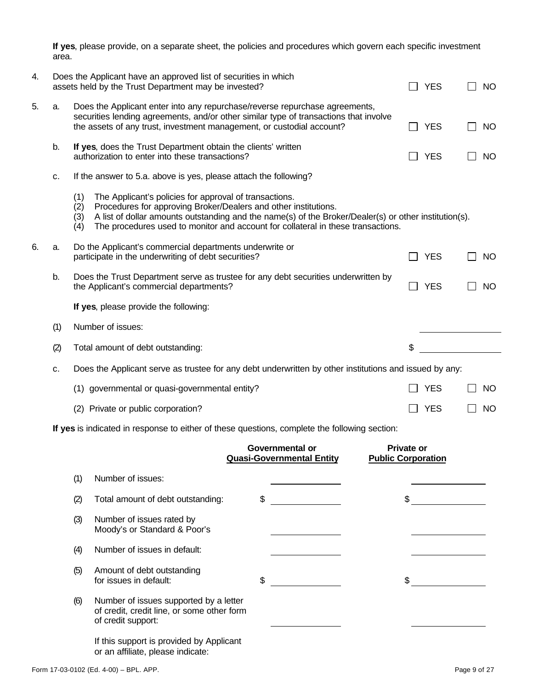**If yes**, please provide, on a separate sheet, the policies and procedures which govern each specific investment area.

| 4. |     |                          | Does the Applicant have an approved list of securities in which<br>assets held by the Trust Department may be invested?                                                                                                                                                                                                |                                                                                         |                   | <b>YES</b> |           | NO        |
|----|-----|--------------------------|------------------------------------------------------------------------------------------------------------------------------------------------------------------------------------------------------------------------------------------------------------------------------------------------------------------------|-----------------------------------------------------------------------------------------|-------------------|------------|-----------|-----------|
| 5. | a.  |                          | Does the Applicant enter into any repurchase/reverse repurchase agreements,<br>securities lending agreements, and/or other similar type of transactions that involve<br>the assets of any trust, investment management, or custodial account?                                                                          |                                                                                         | $\blacksquare$    | <b>YES</b> |           | <b>NO</b> |
|    | b.  |                          | If yes, does the Trust Department obtain the clients' written<br>authorization to enter into these transactions?                                                                                                                                                                                                       |                                                                                         |                   | <b>YES</b> |           | <b>NO</b> |
|    | c.  |                          | If the answer to 5.a. above is yes, please attach the following?                                                                                                                                                                                                                                                       |                                                                                         |                   |            |           |           |
|    |     | (1)<br>(2)<br>(3)<br>(4) | The Applicant's policies for approval of transactions.<br>Procedures for approving Broker/Dealers and other institutions.<br>A list of dollar amounts outstanding and the name(s) of the Broker/Dealer(s) or other institution(s).<br>The procedures used to monitor and account for collateral in these transactions. |                                                                                         |                   |            |           |           |
| 6. | a.  |                          | Do the Applicant's commercial departments underwrite or<br>participate in the underwriting of debt securities?                                                                                                                                                                                                         |                                                                                         |                   | <b>YES</b> |           | <b>NO</b> |
|    | b.  |                          | Does the Trust Department serve as trustee for any debt securities underwritten by<br>the Applicant's commercial departments?                                                                                                                                                                                          |                                                                                         |                   | <b>YES</b> | <b>NO</b> |           |
|    |     |                          | If yes, please provide the following:                                                                                                                                                                                                                                                                                  |                                                                                         |                   |            |           |           |
|    | (1) |                          | Number of issues:                                                                                                                                                                                                                                                                                                      |                                                                                         |                   |            |           |           |
|    | (2) |                          | Total amount of debt outstanding:                                                                                                                                                                                                                                                                                      |                                                                                         | \$                |            |           |           |
|    | с.  |                          | Does the Applicant serve as trustee for any debt underwritten by other institutions and issued by any:                                                                                                                                                                                                                 |                                                                                         |                   |            |           |           |
|    |     |                          | (1) governmental or quasi-governmental entity?                                                                                                                                                                                                                                                                         |                                                                                         |                   | <b>YES</b> |           | <b>NO</b> |
|    |     |                          | (2) Private or public corporation?                                                                                                                                                                                                                                                                                     |                                                                                         |                   | <b>YES</b> |           | <b>NO</b> |
|    |     |                          | If yes is indicated in response to either of these questions, complete the following section:                                                                                                                                                                                                                          |                                                                                         |                   |            |           |           |
|    |     |                          |                                                                                                                                                                                                                                                                                                                        | <b>Governmental or</b><br><b>Quasi-Governmental Entity</b><br><b>Public Corporation</b> | <b>Private or</b> |            |           |           |
|    |     | (1)                      | Number of issues:                                                                                                                                                                                                                                                                                                      |                                                                                         |                   |            |           |           |
|    |     | (2)                      | Total amount of debt outstanding:                                                                                                                                                                                                                                                                                      | \$                                                                                      | \$                |            |           |           |
|    |     | (3)                      | Number of issues rated by<br>Moody's or Standard & Poor's                                                                                                                                                                                                                                                              |                                                                                         |                   |            |           |           |
|    |     | (4)                      | Number of issues in default:                                                                                                                                                                                                                                                                                           |                                                                                         |                   |            |           |           |
|    |     | (5)                      | Amount of debt outstanding<br>for issues in default:                                                                                                                                                                                                                                                                   | S                                                                                       | S.                |            |           |           |
|    |     | (6)                      | Number of issues supported by a letter<br>of credit, credit line, or some other form<br>of credit support:                                                                                                                                                                                                             |                                                                                         |                   |            |           |           |
|    |     |                          | If this support is provided by Applicant<br>or an affiliate, please indicate:                                                                                                                                                                                                                                          |                                                                                         |                   |            |           |           |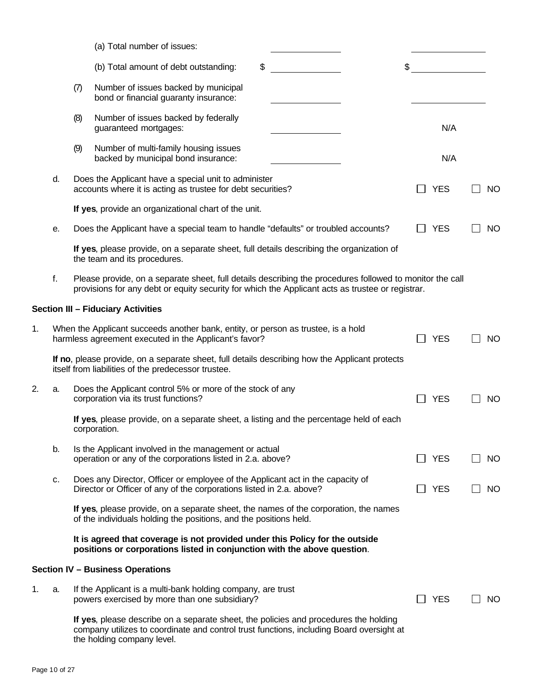|    |    |     | (a) Total number of issues:                                                                                                                                                                                    |            |           |
|----|----|-----|----------------------------------------------------------------------------------------------------------------------------------------------------------------------------------------------------------------|------------|-----------|
|    |    |     | (b) Total amount of debt outstanding:                                                                                                                                                                          | \$<br>S    |           |
|    |    | (7) | Number of issues backed by municipal<br>bond or financial guaranty insurance:                                                                                                                                  |            |           |
|    |    | (8) | Number of issues backed by federally<br>guaranteed mortgages:                                                                                                                                                  | N/A        |           |
|    |    | (9) | Number of multi-family housing issues<br>backed by municipal bond insurance:                                                                                                                                   | N/A        |           |
|    | d. |     | Does the Applicant have a special unit to administer<br>accounts where it is acting as trustee for debt securities?                                                                                            | <b>YES</b> | <b>NO</b> |
|    |    |     | If yes, provide an organizational chart of the unit.                                                                                                                                                           |            |           |
|    | е. |     | Does the Applicant have a special team to handle "defaults" or troubled accounts?                                                                                                                              | <b>YES</b> | <b>NO</b> |
|    |    |     | If yes, please provide, on a separate sheet, full details describing the organization of<br>the team and its procedures.                                                                                       |            |           |
|    | f. |     | Please provide, on a separate sheet, full details describing the procedures followed to monitor the call<br>provisions for any debt or equity security for which the Applicant acts as trustee or registrar.   |            |           |
|    |    |     | <b>Section III - Fiduciary Activities</b>                                                                                                                                                                      |            |           |
| 1. |    |     | When the Applicant succeeds another bank, entity, or person as trustee, is a hold<br>harmless agreement executed in the Applicant's favor?                                                                     | <b>YES</b> | <b>NO</b> |
|    |    |     | If no, please provide, on a separate sheet, full details describing how the Applicant protects<br>itself from liabilities of the predecessor trustee.                                                          |            |           |
| 2. | a. |     | Does the Applicant control 5% or more of the stock of any<br>corporation via its trust functions?                                                                                                              | <b>YES</b> | <b>NO</b> |
|    |    |     | If yes, please provide, on a separate sheet, a listing and the percentage held of each<br>corporation.                                                                                                         |            |           |
|    | b. |     | Is the Applicant involved in the management or actual<br>operation or any of the corporations listed in 2.a. above?                                                                                            | <b>YES</b> | NO.       |
|    | c. |     | Does any Director, Officer or employee of the Applicant act in the capacity of<br>Director or Officer of any of the corporations listed in 2.a. above?                                                         | <b>YES</b> | NO        |
|    |    |     | If yes, please provide, on a separate sheet, the names of the corporation, the names<br>of the individuals holding the positions, and the positions held.                                                      |            |           |
|    |    |     | It is agreed that coverage is not provided under this Policy for the outside<br>positions or corporations listed in conjunction with the above question.                                                       |            |           |
|    |    |     | <b>Section IV - Business Operations</b>                                                                                                                                                                        |            |           |
| 1. | a. |     | If the Applicant is a multi-bank holding company, are trust<br>powers exercised by more than one subsidiary?                                                                                                   | <b>YES</b> | NO        |
|    |    |     | If yes, please describe on a separate sheet, the policies and procedures the holding<br>company utilizes to coordinate and control trust functions, including Board oversight at<br>the holding company level. |            |           |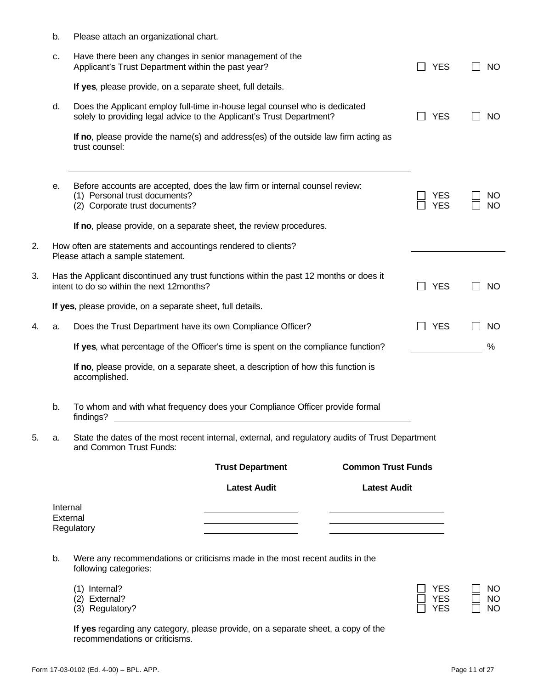| To whom and with what frequency does your Compliance Officer provide formal<br>b.<br>5.<br>State the dates of the most recent internal, external, and regulatory audits of Trust Department<br>а.<br>and Common Trust Funds:<br><b>Trust Department</b><br><b>Common Trust Funds</b><br><b>Latest Audit</b><br><b>Latest Audit</b><br>Internal<br>External<br><u> 2000 - Andrea Andrew Maria (h. 18</u><br>Regulatory<br><u> 1990 - Jan Alexandro III, politik politik (</u><br>Were any recommendations or criticisms made in the most recent audits in the<br>b.<br>following categories:<br>(1) Internal?<br><b>YES</b><br><b>YES</b><br>(2) External?<br><b>YES</b><br>(3) Regulatory?<br>If yes regarding any category, please provide, on a separate sheet, a copy of the<br>recommendations or criticisms.<br>Form 17-03-0102 (Ed. 4-00) - BPL. APP. | Page 11 of 27 |  | If no, please provide, on a separate sheet, a description of how this function is<br>accomplished. |  |
|-------------------------------------------------------------------------------------------------------------------------------------------------------------------------------------------------------------------------------------------------------------------------------------------------------------------------------------------------------------------------------------------------------------------------------------------------------------------------------------------------------------------------------------------------------------------------------------------------------------------------------------------------------------------------------------------------------------------------------------------------------------------------------------------------------------------------------------------------------------|---------------|--|----------------------------------------------------------------------------------------------------|--|
|                                                                                                                                                                                                                                                                                                                                                                                                                                                                                                                                                                                                                                                                                                                                                                                                                                                             |               |  |                                                                                                    |  |
|                                                                                                                                                                                                                                                                                                                                                                                                                                                                                                                                                                                                                                                                                                                                                                                                                                                             |               |  |                                                                                                    |  |
|                                                                                                                                                                                                                                                                                                                                                                                                                                                                                                                                                                                                                                                                                                                                                                                                                                                             |               |  |                                                                                                    |  |
|                                                                                                                                                                                                                                                                                                                                                                                                                                                                                                                                                                                                                                                                                                                                                                                                                                                             |               |  |                                                                                                    |  |
|                                                                                                                                                                                                                                                                                                                                                                                                                                                                                                                                                                                                                                                                                                                                                                                                                                                             |               |  |                                                                                                    |  |
|                                                                                                                                                                                                                                                                                                                                                                                                                                                                                                                                                                                                                                                                                                                                                                                                                                                             |               |  |                                                                                                    |  |
|                                                                                                                                                                                                                                                                                                                                                                                                                                                                                                                                                                                                                                                                                                                                                                                                                                                             |               |  |                                                                                                    |  |
|                                                                                                                                                                                                                                                                                                                                                                                                                                                                                                                                                                                                                                                                                                                                                                                                                                                             |               |  |                                                                                                    |  |
|                                                                                                                                                                                                                                                                                                                                                                                                                                                                                                                                                                                                                                                                                                                                                                                                                                                             |               |  |                                                                                                    |  |
|                                                                                                                                                                                                                                                                                                                                                                                                                                                                                                                                                                                                                                                                                                                                                                                                                                                             |               |  |                                                                                                    |  |
|                                                                                                                                                                                                                                                                                                                                                                                                                                                                                                                                                                                                                                                                                                                                                                                                                                                             |               |  |                                                                                                    |  |
|                                                                                                                                                                                                                                                                                                                                                                                                                                                                                                                                                                                                                                                                                                                                                                                                                                                             |               |  |                                                                                                    |  |
|                                                                                                                                                                                                                                                                                                                                                                                                                                                                                                                                                                                                                                                                                                                                                                                                                                                             |               |  |                                                                                                    |  |

| Please attach an organizational chart.<br>b. |  |
|----------------------------------------------|--|
|----------------------------------------------|--|

c. Have there been any changes in senior management of the

|    |    | Applicant's Trust Department within the past year?                                                                                                   |                                                                                                                          |                           | <b>YES</b>                             | <b>NO</b>                    |
|----|----|------------------------------------------------------------------------------------------------------------------------------------------------------|--------------------------------------------------------------------------------------------------------------------------|---------------------------|----------------------------------------|------------------------------|
|    |    | If yes, please provide, on a separate sheet, full details.                                                                                           |                                                                                                                          |                           |                                        |                              |
|    | d. | Does the Applicant employ full-time in-house legal counsel who is dedicated<br>solely to providing legal advice to the Applicant's Trust Department? |                                                                                                                          |                           | <b>YES</b>                             | <b>NO</b>                    |
|    |    | If no, please provide the name(s) and address(es) of the outside law firm acting as<br>trust counsel:                                                |                                                                                                                          |                           |                                        |                              |
|    | е. | Before accounts are accepted, does the law firm or internal counsel review:<br>(1) Personal trust documents?<br>(2) Corporate trust documents?       |                                                                                                                          |                           | <b>YES</b><br><b>YES</b>               | ΝO<br><b>NO</b>              |
|    |    | If no, please provide, on a separate sheet, the review procedures.                                                                                   |                                                                                                                          |                           |                                        |                              |
| 2. |    | How often are statements and accountings rendered to clients?<br>Please attach a sample statement.                                                   |                                                                                                                          |                           |                                        |                              |
| 3. |    | Has the Applicant discontinued any trust functions within the past 12 months or does it<br>intent to do so within the next 12months?                 |                                                                                                                          |                           | <b>YES</b>                             | <b>NO</b>                    |
|    |    | If yes, please provide, on a separate sheet, full details.                                                                                           |                                                                                                                          |                           |                                        |                              |
| 4. | a. | Does the Trust Department have its own Compliance Officer?                                                                                           |                                                                                                                          |                           | <b>YES</b>                             | <b>NO</b>                    |
|    |    | If yes, what percentage of the Officer's time is spent on the compliance function?                                                                   |                                                                                                                          |                           |                                        | %                            |
|    |    | If no, please provide, on a separate sheet, a description of how this function is<br>accomplished.                                                   |                                                                                                                          |                           |                                        |                              |
|    | b. | To whom and with what frequency does your Compliance Officer provide formal<br>findings?                                                             | <u>a sa barang sa mga barang sa mga barang sa mga barang sa mga barang sa mga barang sa mga barang sa mga barang sa </u> |                           |                                        |                              |
| 5. | а. | State the dates of the most recent internal, external, and regulatory audits of Trust Department<br>and Common Trust Funds:                          |                                                                                                                          |                           |                                        |                              |
|    |    |                                                                                                                                                      | <b>Trust Department</b>                                                                                                  | <b>Common Trust Funds</b> |                                        |                              |
|    |    |                                                                                                                                                      | <b>Latest Audit</b>                                                                                                      | <b>Latest Audit</b>       |                                        |                              |
|    |    | Internal<br>External<br>Regulatory                                                                                                                   |                                                                                                                          |                           |                                        |                              |
|    | b. | Were any recommendations or criticisms made in the most recent audits in the<br>following categories:                                                |                                                                                                                          |                           |                                        |                              |
|    |    | (1) Internal?<br>(2) External?<br>(3) Regulatory?                                                                                                    |                                                                                                                          |                           | <b>YES</b><br><b>YES</b><br><b>YES</b> | ΝO<br><b>NO</b><br><b>NO</b> |
|    |    | If yes regarding any category, please provide, on a separate sheet, a copy of the                                                                    |                                                                                                                          |                           |                                        |                              |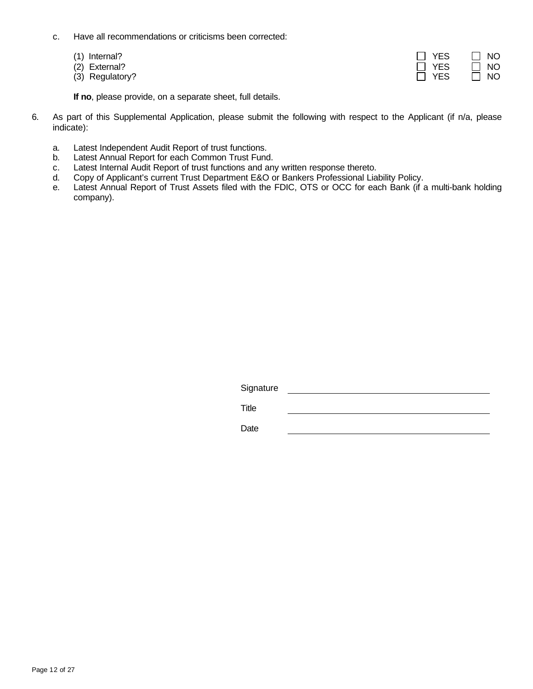- c. Have all recommendations or criticisms been corrected:
	- $(1)$  Internal?
	- (2) External?
	- $(3)$  Regulatory?

| $\mathbb{R}$<br>YFS   | $\Box$ | NΟ |
|-----------------------|--------|----|
| $\blacksquare$<br>YES | $\Box$ | NΟ |
| 7FS.                  |        | חח |

**If no**, please provide, on a separate sheet, full details.

- 6. As part of this Supplemental Application, please submit the following with respect to the Applicant (if n/a, please indicate):
	- a. Latest Independent Audit Report of trust functions.
	- b. Latest Annual Report for each Common Trust Fund.
	- c. Latest Internal Audit Report of trust functions and any written response thereto.
	- d. Copy of Applicant's current Trust Department E&O or Bankers Professional Liability Policy.
	- e. Latest Annual Report of Trust Assets filed with the FDIC, OTS or OCC for each Bank (if a multi-bank holding company).

**Signature** 

**Title**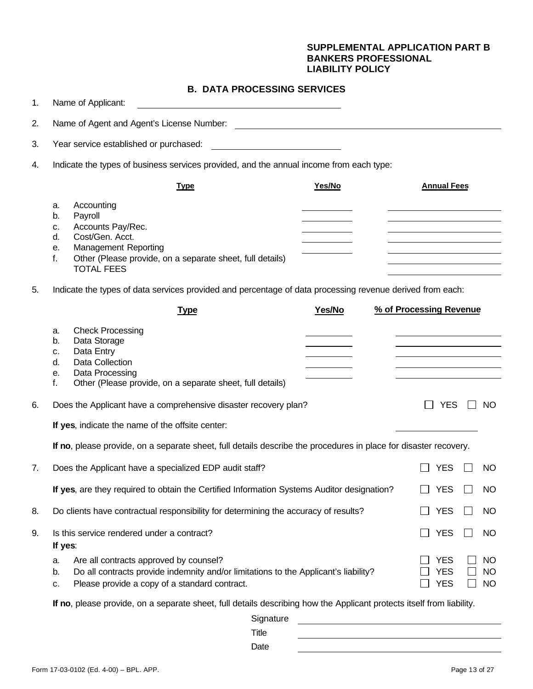#### **SUPPLEMENTAL APPLICATION PART B BANKERS PROFESSIONAL LIABILITY POLICY**

## **B. DATA PROCESSING SERVICES**

| 1. | Name of Applicant:                                                                                                                                                                                                                                                                                                              |                                     |  |  |  |  |  |
|----|---------------------------------------------------------------------------------------------------------------------------------------------------------------------------------------------------------------------------------------------------------------------------------------------------------------------------------|-------------------------------------|--|--|--|--|--|
| 2. |                                                                                                                                                                                                                                                                                                                                 |                                     |  |  |  |  |  |
| 3. | Year service established or purchased:<br><u> 1989 - Johann Barbara, martin amerikan basar dan basa dan basa dalam basa dalam basa dalam basa dalam basa da</u>                                                                                                                                                                 |                                     |  |  |  |  |  |
| 4. | Indicate the types of business services provided, and the annual income from each type:                                                                                                                                                                                                                                         |                                     |  |  |  |  |  |
|    | Yes/No<br><b>Annual Fees</b><br><b>Type</b>                                                                                                                                                                                                                                                                                     |                                     |  |  |  |  |  |
| 5. | Accounting<br>а.<br>Payroll<br>b.<br>Accounts Pay/Rec.<br>c.<br>Cost/Gen. Acct.<br>d.<br><b>Management Reporting</b><br>е.<br>f.<br>Other (Please provide, on a separate sheet, full details)<br><b>TOTAL FEES</b><br>Indicate the types of data services provided and percentage of data processing revenue derived from each: |                                     |  |  |  |  |  |
|    | % of Processing Revenue<br>Yes/No<br><b>Type</b>                                                                                                                                                                                                                                                                                |                                     |  |  |  |  |  |
|    | <b>Check Processing</b><br>а.<br>the control of the control of the control of the control of the control of the control of<br>Data Storage<br>b.<br>Data Entry<br>c.<br>d.<br>Data Collection<br>Data Processing<br>е.<br>f.<br>Other (Please provide, on a separate sheet, full details)                                       |                                     |  |  |  |  |  |
| 6. | Does the Applicant have a comprehensive disaster recovery plan?<br><b>YES</b>                                                                                                                                                                                                                                                   | <b>NO</b>                           |  |  |  |  |  |
|    | If yes, indicate the name of the offsite center:                                                                                                                                                                                                                                                                                |                                     |  |  |  |  |  |
|    | If no, please provide, on a separate sheet, full details describe the procedures in place for disaster recovery.                                                                                                                                                                                                                |                                     |  |  |  |  |  |
| 7. | Does the Applicant have a specialized EDP audit staff?<br>YES                                                                                                                                                                                                                                                                   | <b>NO</b>                           |  |  |  |  |  |
|    | If yes, are they required to obtain the Certified Information Systems Auditor designation?<br><b>YES</b>                                                                                                                                                                                                                        | <b>NO</b>                           |  |  |  |  |  |
| 8. | Do clients have contractual responsibility for determining the accuracy of results?<br><b>YES</b>                                                                                                                                                                                                                               | <b>NO</b>                           |  |  |  |  |  |
| 9. | Is this service rendered under a contract?<br><b>YES</b><br>If yes:                                                                                                                                                                                                                                                             | <b>NO</b>                           |  |  |  |  |  |
|    | Are all contracts approved by counsel?<br><b>YES</b><br>a.<br><b>YES</b><br>Do all contracts provide indemnity and/or limitations to the Applicant's liability?<br>b.<br>Please provide a copy of a standard contract.<br><b>YES</b><br>С.                                                                                      | <b>NO</b><br><b>NO</b><br><b>NO</b> |  |  |  |  |  |
|    | If no, please provide, on a separate sheet, full details describing how the Applicant protects itself from liability.<br>Signature                                                                                                                                                                                              |                                     |  |  |  |  |  |

Title Date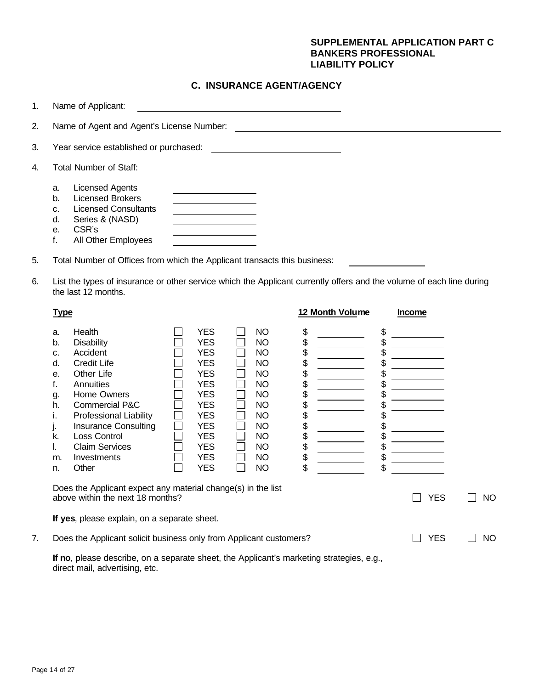## **SUPPLEMENTAL APPLICATION PART C BANKERS PROFESSIONAL LIABILITY POLICY**

# **C. INSURANCE AGENT/AGENCY**

| 1. | Name of Applicant:                                                                                                                                                                                                                                                                                                                                                                                                                                                                                                      |                                                                                                                                                                                                  |                                                                                                                                                                                    |                                                                                                     |                                                                                            |    |
|----|-------------------------------------------------------------------------------------------------------------------------------------------------------------------------------------------------------------------------------------------------------------------------------------------------------------------------------------------------------------------------------------------------------------------------------------------------------------------------------------------------------------------------|--------------------------------------------------------------------------------------------------------------------------------------------------------------------------------------------------|------------------------------------------------------------------------------------------------------------------------------------------------------------------------------------|-----------------------------------------------------------------------------------------------------|--------------------------------------------------------------------------------------------|----|
| 2. | Name of Agent and Agent's License Number:                                                                                                                                                                                                                                                                                                                                                                                                                                                                               |                                                                                                                                                                                                  |                                                                                                                                                                                    |                                                                                                     |                                                                                            |    |
| 3. | Year service established or purchased:                                                                                                                                                                                                                                                                                                                                                                                                                                                                                  |                                                                                                                                                                                                  |                                                                                                                                                                                    |                                                                                                     |                                                                                            |    |
| 4. | <b>Total Number of Staff:</b>                                                                                                                                                                                                                                                                                                                                                                                                                                                                                           |                                                                                                                                                                                                  |                                                                                                                                                                                    |                                                                                                     |                                                                                            |    |
|    | <b>Licensed Agents</b><br>a.<br><b>Licensed Brokers</b><br>b.<br><b>Licensed Consultants</b><br>c.<br>d.<br>Series & (NASD)<br>CSR's<br>е.<br>f.<br>All Other Employees                                                                                                                                                                                                                                                                                                                                                 |                                                                                                                                                                                                  |                                                                                                                                                                                    |                                                                                                     |                                                                                            |    |
| 5. | Total Number of Offices from which the Applicant transacts this business:                                                                                                                                                                                                                                                                                                                                                                                                                                               |                                                                                                                                                                                                  |                                                                                                                                                                                    |                                                                                                     |                                                                                            |    |
| 6. | List the types of insurance or other service which the Applicant currently offers and the volume of each line during<br>the last 12 months.<br><b>Type</b><br>Health<br>а.<br><b>Disability</b><br>b.<br>Accident<br>c.<br>d.<br><b>Credit Life</b><br><b>Other Life</b><br>е.<br>f.<br>Annuities<br>Home Owners<br>g.<br><b>Commercial P&amp;C</b><br>h.<br>i.<br>Professional Liability<br><b>Insurance Consulting</b><br>j.<br>Loss Control<br>k.<br><b>Claim Services</b><br>I.<br>Investments<br>m.<br>Other<br>n. | <b>YES</b><br><b>YES</b><br><b>YES</b><br><b>YES</b><br><b>YES</b><br><b>YES</b><br><b>YES</b><br><b>YES</b><br><b>YES</b><br><b>YES</b><br><b>YES</b><br><b>YES</b><br><b>YES</b><br><b>YES</b> | <b>NO</b><br><b>NO</b><br><b>NO</b><br><b>NO</b><br><b>NO</b><br><b>NO</b><br><b>NO</b><br><b>NO</b><br><b>NO</b><br><b>NO</b><br><b>NO</b><br><b>NO</b><br><b>NO</b><br><b>NO</b> | 12 Month Volume<br>\$<br>\$<br>\$<br>\$<br>\$<br>\$<br>\$<br>\$<br>\$<br>\$<br>\$<br>\$<br>\$<br>\$ | Income<br>\$<br>\$<br>\$<br>\$<br>\$<br>\$<br>\$<br>\$<br>\$<br>\$<br>\$<br>\$<br>\$<br>\$ |    |
|    | Does the Applicant expect any material change(s) in the list<br>above within the next 18 months?<br>If yes, please explain, on a separate sheet.                                                                                                                                                                                                                                                                                                                                                                        |                                                                                                                                                                                                  |                                                                                                                                                                                    |                                                                                                     | <b>YES</b>                                                                                 | NO |
| 7. | Does the Applicant solicit business only from Applicant customers?<br>If no, please describe, on a separate sheet, the Applicant's marketing strategies, e.g.,                                                                                                                                                                                                                                                                                                                                                          |                                                                                                                                                                                                  |                                                                                                                                                                                    |                                                                                                     | <b>YES</b>                                                                                 | NO |
|    | direct mail, advertising, etc.                                                                                                                                                                                                                                                                                                                                                                                                                                                                                          |                                                                                                                                                                                                  |                                                                                                                                                                                    |                                                                                                     |                                                                                            |    |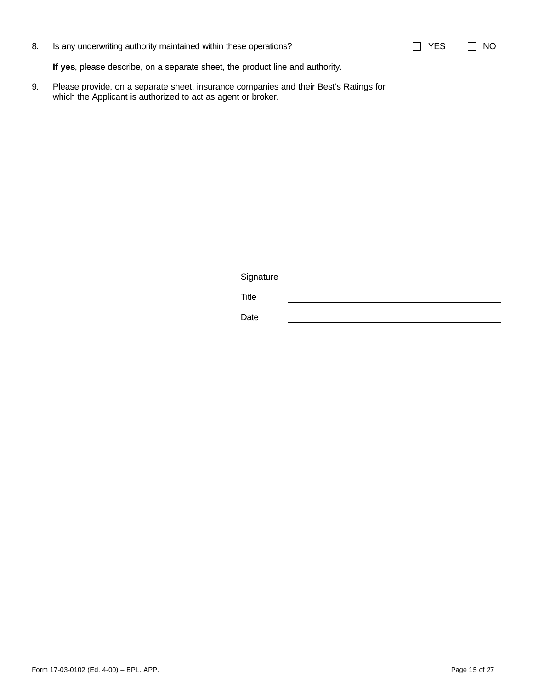| $\Box$ YES | $\Box$ NO |  |
|------------|-----------|--|

8. Is any underwriting authority maintained within these operations?

**If yes**, please describe, on a separate sheet, the product line and authority.

9. Please provide, on a separate sheet, insurance companies and their Best's Ratings for which the Applicant is authorized to act as agent or broker.

**Signature** 

Title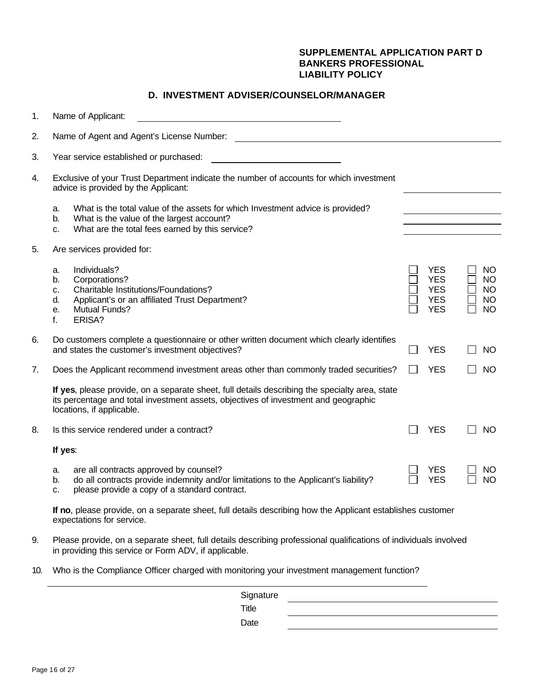## **SUPPLEMENTAL APPLICATION PART D BANKERS PROFESSIONAL LIABILITY POLICY**

## **D. INVESTMENT ADVISER/COUNSELOR/MANAGER**

| 1.  | Name of Applicant:                                                                                                                                                                                                 |  |                                                                    |  |                                                         |  |  |
|-----|--------------------------------------------------------------------------------------------------------------------------------------------------------------------------------------------------------------------|--|--------------------------------------------------------------------|--|---------------------------------------------------------|--|--|
| 2.  | Name of Agent and Agent's License Number:                                                                                                                                                                          |  |                                                                    |  |                                                         |  |  |
| 3.  | Year service established or purchased:                                                                                                                                                                             |  |                                                                    |  |                                                         |  |  |
| 4.  | Exclusive of your Trust Department indicate the number of accounts for which investment<br>advice is provided by the Applicant:                                                                                    |  |                                                                    |  |                                                         |  |  |
|     | What is the total value of the assets for which Investment advice is provided?<br>a.<br>What is the value of the largest account?<br>b.<br>What are the total fees earned by this service?<br>c.                   |  |                                                                    |  |                                                         |  |  |
| 5.  | Are services provided for:                                                                                                                                                                                         |  |                                                                    |  |                                                         |  |  |
|     | Individuals?<br>a.<br>Corporations?<br>b.<br>Charitable Institutions/Foundations?<br>c.<br>Applicant's or an affiliated Trust Department?<br>d.<br><b>Mutual Funds?</b><br>е.<br>f.<br>ERISA?                      |  | <b>YES</b><br><b>YES</b><br><b>YES</b><br><b>YES</b><br><b>YES</b> |  | NO.<br><b>NO</b><br><b>NO</b><br><b>NO</b><br><b>NO</b> |  |  |
| 6.  | Do customers complete a questionnaire or other written document which clearly identifies<br>and states the customer's investment objectives?                                                                       |  | <b>YES</b>                                                         |  | <b>NO</b>                                               |  |  |
| 7.  | Does the Applicant recommend investment areas other than commonly traded securities?                                                                                                                               |  | <b>YES</b>                                                         |  | <b>NO</b>                                               |  |  |
|     | If yes, please provide, on a separate sheet, full details describing the specialty area, state<br>its percentage and total investment assets, objectives of investment and geographic<br>locations, if applicable. |  |                                                                    |  |                                                         |  |  |
| 8.  | Is this service rendered under a contract?                                                                                                                                                                         |  | <b>YES</b>                                                         |  | <b>NO</b>                                               |  |  |
|     | If yes:                                                                                                                                                                                                            |  |                                                                    |  |                                                         |  |  |
|     | are all contracts approved by counsel?<br>а.<br>do all contracts provide indemnity and/or limitations to the Applicant's liability?<br>b.<br>please provide a copy of a standard contract.<br>c.                   |  | <b>YES</b><br><b>YES</b>                                           |  | ΝO<br><b>NO</b>                                         |  |  |
|     | If no, please provide, on a separate sheet, full details describing how the Applicant establishes customer<br>expectations for service.                                                                            |  |                                                                    |  |                                                         |  |  |
| 9.  | Please provide, on a separate sheet, full details describing professional qualifications of individuals involved<br>in providing this service or Form ADV, if applicable.                                          |  |                                                                    |  |                                                         |  |  |
| 10. | Who is the Compliance Officer charged with monitoring your investment management function?                                                                                                                         |  |                                                                    |  |                                                         |  |  |
|     | Signature                                                                                                                                                                                                          |  |                                                                    |  |                                                         |  |  |

Title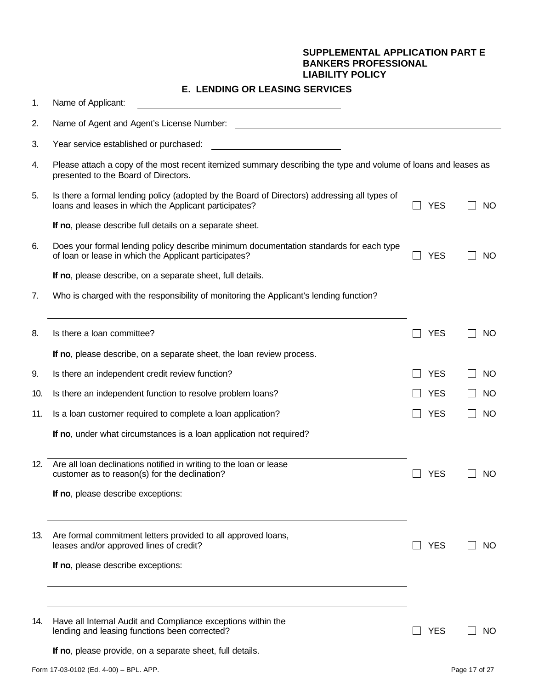## **SUPPLEMENTAL APPLICATION PART E BANKERS PROFESSIONAL LIABILITY POLICY**

## **E. LENDING OR LEASING SERVICES**

| 1.  | Name of Applicant:                                                                                                                                     |            |               |
|-----|--------------------------------------------------------------------------------------------------------------------------------------------------------|------------|---------------|
| 2.  | Name of Agent and Agent's License Number:                                                                                                              |            |               |
| 3.  | Year service established or purchased:                                                                                                                 |            |               |
| 4.  | Please attach a copy of the most recent itemized summary describing the type and volume of loans and leases as<br>presented to the Board of Directors. |            |               |
| 5.  | Is there a formal lending policy (adopted by the Board of Directors) addressing all types of<br>loans and leases in which the Applicant participates?  | <b>YES</b> | <b>NO</b>     |
|     | If no, please describe full details on a separate sheet.                                                                                               |            |               |
| 6.  | Does your formal lending policy describe minimum documentation standards for each type<br>of loan or lease in which the Applicant participates?        | <b>YES</b> | NO            |
|     | If no, please describe, on a separate sheet, full details.                                                                                             |            |               |
| 7.  | Who is charged with the responsibility of monitoring the Applicant's lending function?                                                                 |            |               |
| 8.  | Is there a loan committee?                                                                                                                             | <b>YES</b> | <b>NO</b>     |
|     | If no, please describe, on a separate sheet, the loan review process.                                                                                  |            |               |
| 9.  | Is there an independent credit review function?                                                                                                        | <b>YES</b> | NO            |
| 10. | Is there an independent function to resolve problem loans?                                                                                             | <b>YES</b> | <b>NO</b>     |
| 11. | Is a loan customer required to complete a loan application?                                                                                            | <b>YES</b> | <b>NO</b>     |
|     | If no, under what circumstances is a loan application not required?                                                                                    |            |               |
| 12. | Are all loan declinations notified in writing to the loan or lease<br>customer as to reason(s) for the declination?                                    | <b>YES</b> | ΝO            |
|     | If no, please describe exceptions:                                                                                                                     |            |               |
| 13. | Are formal commitment letters provided to all approved loans,<br>leases and/or approved lines of credit?                                               | <b>YES</b> | NO.           |
|     | If no, please describe exceptions:                                                                                                                     |            |               |
|     |                                                                                                                                                        |            |               |
| 14. | Have all Internal Audit and Compliance exceptions within the<br>lending and leasing functions been corrected?                                          | <b>YES</b> | NO            |
|     | If no, please provide, on a separate sheet, full details.                                                                                              |            |               |
|     | Form 17-03-0102 (Ed. 4-00) - BPL. APP.                                                                                                                 |            | Page 17 of 27 |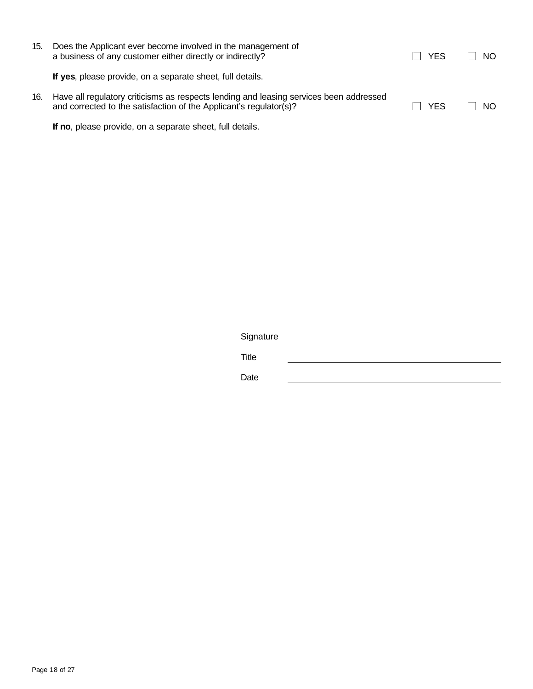| 15. | Does the Applicant ever become involved in the management of<br>a business of any customer either directly or indirectly?                                    | <b>YES</b> | - NO<br>$\vert \ \ \vert$ |
|-----|--------------------------------------------------------------------------------------------------------------------------------------------------------------|------------|---------------------------|
|     | If yes, please provide, on a separate sheet, full details.                                                                                                   |            |                           |
| 16. | Have all regulatory criticisms as respects lending and leasing services been addressed<br>and corrected to the satisfaction of the Applicant's regulator(s)? | <b>YFS</b> | NO.<br>$\Box$             |

**If no**, please provide, on a separate sheet, full details.

| Signature |  |  |  |
|-----------|--|--|--|
| Title     |  |  |  |
| Date      |  |  |  |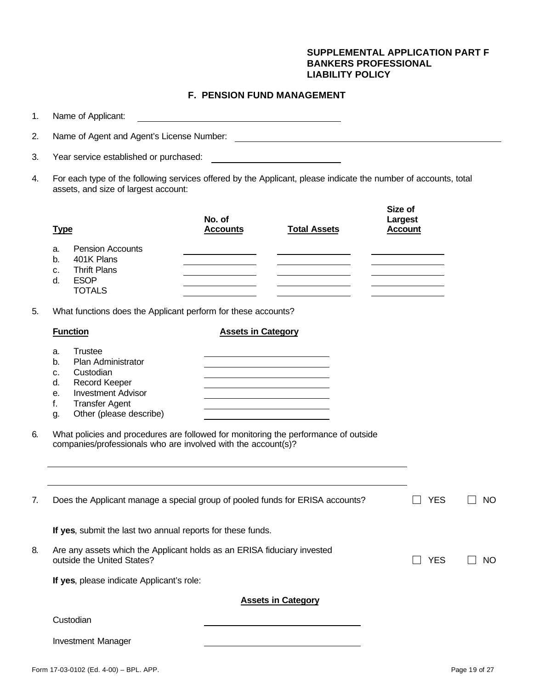## **SUPPLEMENTAL APPLICATION PART F BANKERS PROFESSIONAL LIABILITY POLICY**

#### **F. PENSION FUND MANAGEMENT**

| 1. | Name of Applicant:                                                                                                                                                                            |                                                                                                                                                                                                                                    |                                                                                                                      |                                                                                                                                                                                                                                            |           |  |  |
|----|-----------------------------------------------------------------------------------------------------------------------------------------------------------------------------------------------|------------------------------------------------------------------------------------------------------------------------------------------------------------------------------------------------------------------------------------|----------------------------------------------------------------------------------------------------------------------|--------------------------------------------------------------------------------------------------------------------------------------------------------------------------------------------------------------------------------------------|-----------|--|--|
| 2. |                                                                                                                                                                                               |                                                                                                                                                                                                                                    |                                                                                                                      |                                                                                                                                                                                                                                            |           |  |  |
| 3. | Year service established or purchased:                                                                                                                                                        |                                                                                                                                                                                                                                    |                                                                                                                      |                                                                                                                                                                                                                                            |           |  |  |
| 4. | For each type of the following services offered by the Applicant, please indicate the number of accounts, total<br>assets, and size of largest account:                                       |                                                                                                                                                                                                                                    |                                                                                                                      |                                                                                                                                                                                                                                            |           |  |  |
|    | <b>Type</b>                                                                                                                                                                                   | No. of<br><b>Accounts</b>                                                                                                                                                                                                          | <b>Total Assets</b>                                                                                                  | Size of<br>Largest<br><b>Account</b>                                                                                                                                                                                                       |           |  |  |
|    | <b>Pension Accounts</b><br>a.<br>401K Plans<br>b.<br><b>Thrift Plans</b><br>c.<br><b>ESOP</b><br>d.<br><b>TOTALS</b>                                                                          | <u> 1989 - Johann Barn, brittisk politik (d. 1989)</u><br><u> 1989 - Jan James Barnett, politik eta politik eta politik eta politik eta politik eta politik eta politik e</u><br><u> 1989 - Johann Barnett, fransk politiker (</u> | <u> 1989 - Jan James James Jan James James Jan James James James James James James James James James James James</u> | <u> 1989 - Johann Barn, mars an t-Amerikaansk fersk</u><br><u> 1989 - Johann Barn, mars eta bainar eta idazlea (</u><br><u> 1989 - Johann Barn, mars an t-Amerikaansk fersk</u><br><u> 1989 - Johann Barn, mars an t-Amerikaansk fersk</u> |           |  |  |
| 5. | What functions does the Applicant perform for these accounts?                                                                                                                                 |                                                                                                                                                                                                                                    |                                                                                                                      |                                                                                                                                                                                                                                            |           |  |  |
|    | <b>Function</b>                                                                                                                                                                               | <b>Assets in Category</b>                                                                                                                                                                                                          |                                                                                                                      |                                                                                                                                                                                                                                            |           |  |  |
|    | Trustee<br>a.<br>Plan Administrator<br>b.<br>Custodian<br>c.<br>d.<br><b>Record Keeper</b><br><b>Investment Advisor</b><br>е.<br>f.<br><b>Transfer Agent</b><br>Other (please describe)<br>g. |                                                                                                                                                                                                                                    | <u> 1989 - Johann Stein, mars an de Brasilia (b. 1989)</u>                                                           |                                                                                                                                                                                                                                            |           |  |  |
| 6. | What policies and procedures are followed for monitoring the performance of outside<br>companies/professionals who are involved with the account(s)?                                          |                                                                                                                                                                                                                                    |                                                                                                                      |                                                                                                                                                                                                                                            |           |  |  |
| 7. | Does the Applicant manage a special group of pooled funds for ERISA accounts?                                                                                                                 |                                                                                                                                                                                                                                    |                                                                                                                      | <b>YES</b>                                                                                                                                                                                                                                 | <b>NO</b> |  |  |
|    | If yes, submit the last two annual reports for these funds.                                                                                                                                   |                                                                                                                                                                                                                                    |                                                                                                                      |                                                                                                                                                                                                                                            |           |  |  |
| 8. | Are any assets which the Applicant holds as an ERISA fiduciary invested<br>outside the United States?                                                                                         |                                                                                                                                                                                                                                    |                                                                                                                      | <b>YES</b>                                                                                                                                                                                                                                 | <b>NO</b> |  |  |
|    | If yes, please indicate Applicant's role:                                                                                                                                                     |                                                                                                                                                                                                                                    |                                                                                                                      |                                                                                                                                                                                                                                            |           |  |  |
|    |                                                                                                                                                                                               |                                                                                                                                                                                                                                    | <b>Assets in Category</b>                                                                                            |                                                                                                                                                                                                                                            |           |  |  |
|    | Custodian                                                                                                                                                                                     |                                                                                                                                                                                                                                    |                                                                                                                      |                                                                                                                                                                                                                                            |           |  |  |
|    | <b>Investment Manager</b>                                                                                                                                                                     |                                                                                                                                                                                                                                    |                                                                                                                      |                                                                                                                                                                                                                                            |           |  |  |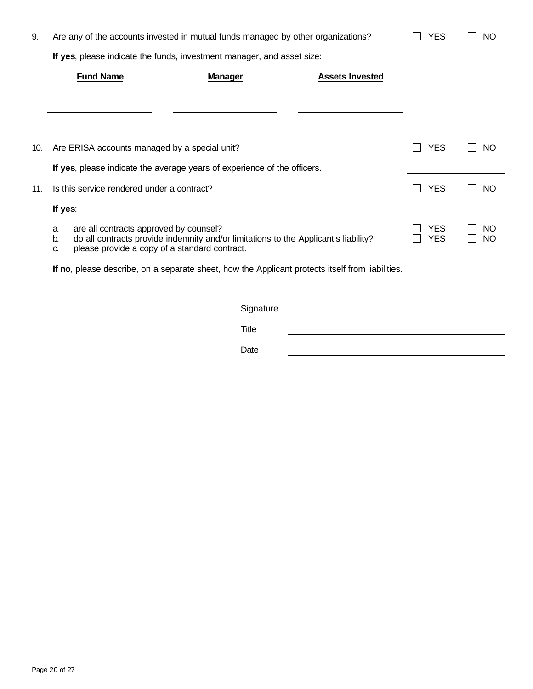|  | <b>NO</b><br>$\Box$ YES | Are any of the accounts invested in mutual funds managed by other organizations? |  |
|--|-------------------------|----------------------------------------------------------------------------------|--|
|--|-------------------------|----------------------------------------------------------------------------------|--|

**If yes**, please indicate the funds, investment manager, and asset size:

|     |                | <b>Fund Name</b>                                                                        | <b>Manager</b>                                                                      | <b>Assets Invested</b>                                                                           |                    |                 |
|-----|----------------|-----------------------------------------------------------------------------------------|-------------------------------------------------------------------------------------|--------------------------------------------------------------------------------------------------|--------------------|-----------------|
|     |                |                                                                                         |                                                                                     |                                                                                                  |                    |                 |
|     |                |                                                                                         |                                                                                     |                                                                                                  |                    |                 |
| 10. |                | Are ERISA accounts managed by a special unit?                                           |                                                                                     |                                                                                                  | <b>YES</b>         | <b>NO</b>       |
|     |                | If yes, please indicate the average years of experience of the officers.                |                                                                                     |                                                                                                  |                    |                 |
| 11. |                | Is this service rendered under a contract?                                              |                                                                                     |                                                                                                  | <b>YES</b>         | <b>NO</b>       |
|     | If yes:        |                                                                                         |                                                                                     |                                                                                                  |                    |                 |
|     | a.<br>b.<br>C. | are all contracts approved by counsel?<br>please provide a copy of a standard contract. | do all contracts provide indemnity and/or limitations to the Applicant's liability? |                                                                                                  | YES.<br><b>YES</b> | ΝO<br><b>NO</b> |
|     |                |                                                                                         |                                                                                     | If no, please describe, on a separate sheet, how the Applicant protects itself from liabilities. |                    |                 |
|     |                |                                                                                         |                                                                                     |                                                                                                  |                    |                 |
|     |                |                                                                                         | Signature                                                                           |                                                                                                  |                    |                 |
|     |                |                                                                                         | Title                                                                               |                                                                                                  |                    |                 |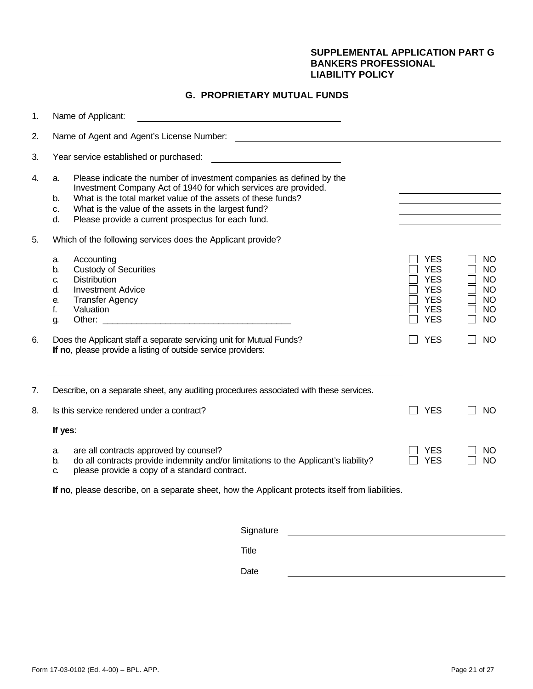## **SUPPLEMENTAL APPLICATION PART G BANKERS PROFESSIONAL LIABILITY POLICY**

## **G. PROPRIETARY MUTUAL FUNDS**

| 1. | Name of Applicant:                                                                                                                                                                                                                                                                                                                            |                                                                                                                                                                                                                                                                                                                                         |           |                                                                                                |                                                                                  |  |
|----|-----------------------------------------------------------------------------------------------------------------------------------------------------------------------------------------------------------------------------------------------------------------------------------------------------------------------------------------------|-----------------------------------------------------------------------------------------------------------------------------------------------------------------------------------------------------------------------------------------------------------------------------------------------------------------------------------------|-----------|------------------------------------------------------------------------------------------------|----------------------------------------------------------------------------------|--|
| 2. | Name of Agent and Agent's License Number:                                                                                                                                                                                                                                                                                                     |                                                                                                                                                                                                                                                                                                                                         |           |                                                                                                |                                                                                  |  |
| 3. | Year service established or purchased:<br><u> 1990 - Jan Barnett, fransk politiker (</u>                                                                                                                                                                                                                                                      |                                                                                                                                                                                                                                                                                                                                         |           |                                                                                                |                                                                                  |  |
| 4. | Please indicate the number of investment companies as defined by the<br>a.<br>Investment Company Act of 1940 for which services are provided.<br>What is the total market value of the assets of these funds?<br>b.<br>What is the value of the assets in the largest fund?<br>c.<br>d.<br>Please provide a current prospectus for each fund. |                                                                                                                                                                                                                                                                                                                                         |           |                                                                                                |                                                                                  |  |
| 5. | a.<br>b.<br>C.<br>d.<br>е.<br>f.<br>g.                                                                                                                                                                                                                                                                                                        | Which of the following services does the Applicant provide?<br>Accounting<br><b>Custody of Securities</b><br><b>Distribution</b><br><b>Investment Advice</b><br><b>Transfer Agency</b><br>Valuation<br>Other:<br><u> 1990 - Johann Barn, mars ann an t-Amhain ann an t-Amhain ann an t-Amhain ann an t-Amhain an t-Amhain ann an t-</u> |           | <b>YES</b><br><b>YES</b><br><b>YES</b><br><b>YES</b><br><b>YES</b><br><b>YES</b><br><b>YES</b> | NO<br><b>NO</b><br><b>NO</b><br><b>NO</b><br><b>NO</b><br><b>NO</b><br><b>NO</b> |  |
| 6. |                                                                                                                                                                                                                                                                                                                                               | Does the Applicant staff a separate servicing unit for Mutual Funds?<br>If no, please provide a listing of outside service providers:                                                                                                                                                                                                   |           | <b>YES</b>                                                                                     | <b>NO</b>                                                                        |  |
| 7. |                                                                                                                                                                                                                                                                                                                                               | Describe, on a separate sheet, any auditing procedures associated with these services.                                                                                                                                                                                                                                                  |           |                                                                                                |                                                                                  |  |
| 8. |                                                                                                                                                                                                                                                                                                                                               | Is this service rendered under a contract?                                                                                                                                                                                                                                                                                              |           | <b>YES</b>                                                                                     | <b>NO</b>                                                                        |  |
|    | If yes:                                                                                                                                                                                                                                                                                                                                       |                                                                                                                                                                                                                                                                                                                                         |           |                                                                                                |                                                                                  |  |
|    | а.<br>b.<br>C.                                                                                                                                                                                                                                                                                                                                | are all contracts approved by counsel?<br>do all contracts provide indemnity and/or limitations to the Applicant's liability?<br>please provide a copy of a standard contract.                                                                                                                                                          |           | <b>YES</b><br><b>YES</b>                                                                       | ΝO<br><b>NO</b>                                                                  |  |
|    | If no, please describe, on a separate sheet, how the Applicant protects itself from liabilities.                                                                                                                                                                                                                                              |                                                                                                                                                                                                                                                                                                                                         |           |                                                                                                |                                                                                  |  |
|    |                                                                                                                                                                                                                                                                                                                                               |                                                                                                                                                                                                                                                                                                                                         | Signature |                                                                                                |                                                                                  |  |
|    |                                                                                                                                                                                                                                                                                                                                               |                                                                                                                                                                                                                                                                                                                                         | Title     |                                                                                                |                                                                                  |  |
|    |                                                                                                                                                                                                                                                                                                                                               |                                                                                                                                                                                                                                                                                                                                         | Date      |                                                                                                |                                                                                  |  |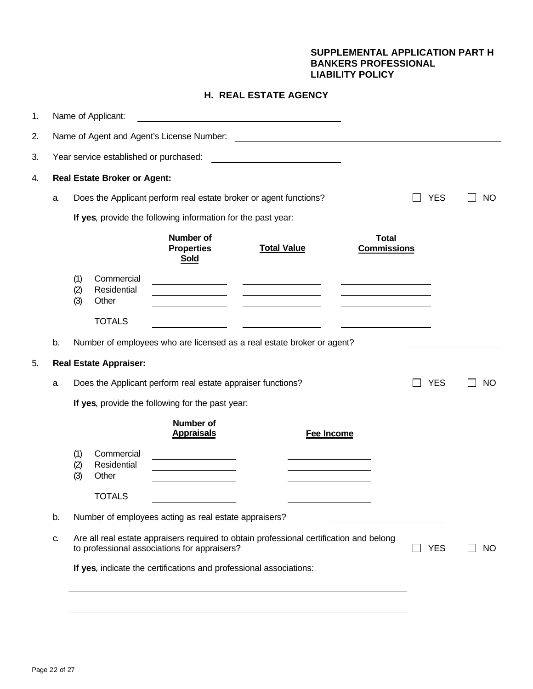## **SUPPLEMENTAL APPLICATION PART H BANKERS PROFESSIONAL LIABILITY POLICY**

## **H. REAL ESTATE AGENCY**

| 1. |    |                   | Name of Applicant:                  |                                                                                                                                         |                                                                                                                      |                                    |            |           |
|----|----|-------------------|-------------------------------------|-----------------------------------------------------------------------------------------------------------------------------------------|----------------------------------------------------------------------------------------------------------------------|------------------------------------|------------|-----------|
| 2. |    |                   |                                     |                                                                                                                                         |                                                                                                                      |                                    |            |           |
| 3. |    |                   |                                     | Year service established or purchased:                                                                                                  | <u> 1980 - Jan Samuel Barbara, politik eta politik eta politik eta politik eta politik eta politik eta politik e</u> |                                    |            |           |
| 4. |    |                   | <b>Real Estate Broker or Agent:</b> |                                                                                                                                         |                                                                                                                      |                                    |            |           |
|    | a. |                   |                                     | Does the Applicant perform real estate broker or agent functions?                                                                       |                                                                                                                      |                                    | <b>YES</b> | <b>NO</b> |
|    |    |                   |                                     | If yes, provide the following information for the past year:                                                                            |                                                                                                                      |                                    |            |           |
|    |    |                   |                                     | <b>Number of</b><br><b>Properties</b><br>Sold                                                                                           | <b>Total Value</b>                                                                                                   | <b>Total</b><br><b>Commissions</b> |            |           |
|    |    | (1)<br>(2)<br>(3) | Commercial<br>Residential<br>Other  |                                                                                                                                         | <u> The Common School (1989)</u>                                                                                     |                                    |            |           |
|    |    |                   | <b>TOTALS</b>                       |                                                                                                                                         |                                                                                                                      |                                    |            |           |
|    | b. |                   |                                     | Number of employees who are licensed as a real estate broker or agent?                                                                  |                                                                                                                      |                                    |            |           |
| 5. |    |                   | <b>Real Estate Appraiser:</b>       |                                                                                                                                         |                                                                                                                      |                                    |            |           |
|    | a. |                   |                                     | Does the Applicant perform real estate appraiser functions?                                                                             |                                                                                                                      |                                    | <b>YES</b> | <b>NO</b> |
|    |    |                   |                                     | If yes, provide the following for the past year:                                                                                        |                                                                                                                      |                                    |            |           |
|    |    |                   |                                     | <b>Number of</b><br><b>Appraisals</b>                                                                                                   | Fee Income                                                                                                           |                                    |            |           |
|    |    | (1)<br>(2)<br>(3) | Commercial<br>Residential<br>Other  | <u> 1989 - Johann Barbara, martxa a</u>                                                                                                 |                                                                                                                      |                                    |            |           |
|    |    |                   | <b>TOTALS</b>                       |                                                                                                                                         |                                                                                                                      |                                    |            |           |
|    | b. |                   |                                     | Number of employees acting as real estate appraisers?                                                                                   |                                                                                                                      |                                    |            |           |
|    | C. |                   |                                     | Are all real estate appraisers required to obtain professional certification and belong<br>to professional associations for appraisers? |                                                                                                                      |                                    | <b>YES</b> | <b>NO</b> |
|    |    |                   |                                     | If yes, indicate the certifications and professional associations:                                                                      |                                                                                                                      |                                    |            |           |
|    |    |                   |                                     |                                                                                                                                         |                                                                                                                      |                                    |            |           |
|    |    |                   |                                     |                                                                                                                                         |                                                                                                                      |                                    |            |           |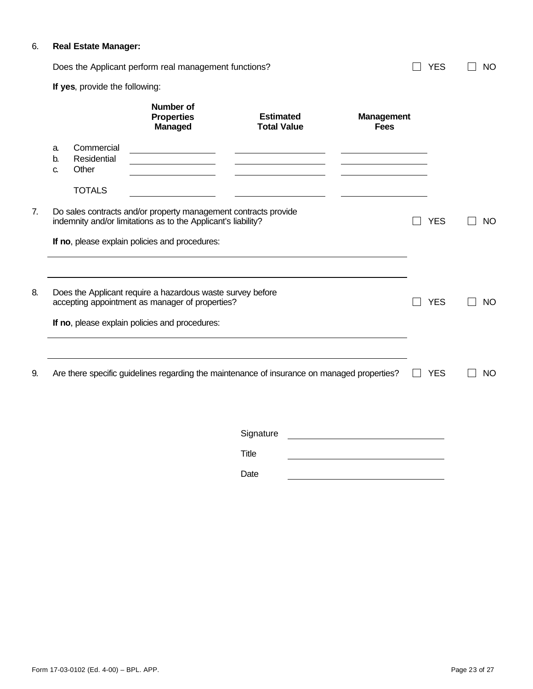# 6. **Real Estate Manager:**

| Does the Applicant perform real management functions? | $\Box$ YES | $\vert$ $\vert$ NO |
|-------------------------------------------------------|------------|--------------------|
| <b>If yes, provide the following:</b>                 |            |                    |

|    |                |                                    | Number of<br><b>Properties</b><br><b>Managed</b>                                                                                 | <b>Estimated</b><br><b>Total Value</b>           | <b>Management</b><br><b>Fees</b>                                                                                       |            |           |
|----|----------------|------------------------------------|----------------------------------------------------------------------------------------------------------------------------------|--------------------------------------------------|------------------------------------------------------------------------------------------------------------------------|------------|-----------|
|    | a.<br>b.<br>C. | Commercial<br>Residential<br>Other | <u> 1990 - Johann Barbara, politik eta politikar</u><br><u> 1989 - Johann Barbara, martin basa</u>                               | and the control of the control of the control of |                                                                                                                        |            |           |
|    |                | <b>TOTALS</b>                      |                                                                                                                                  |                                                  |                                                                                                                        |            |           |
| 7. |                |                                    | Do sales contracts and/or property management contracts provide<br>indemnity and/or limitations as to the Applicant's liability? |                                                  |                                                                                                                        | <b>YES</b> | <b>NO</b> |
|    |                |                                    | If no, please explain policies and procedures:                                                                                   |                                                  |                                                                                                                        |            |           |
|    |                |                                    |                                                                                                                                  |                                                  |                                                                                                                        |            |           |
| 8. |                |                                    | Does the Applicant require a hazardous waste survey before<br>accepting appointment as manager of properties?                    |                                                  |                                                                                                                        | <b>YES</b> | <b>NO</b> |
|    |                |                                    | If no, please explain policies and procedures:                                                                                   |                                                  |                                                                                                                        |            |           |
|    |                |                                    |                                                                                                                                  |                                                  |                                                                                                                        |            |           |
| 9. |                |                                    | Are there specific guidelines regarding the maintenance of insurance on managed properties?                                      |                                                  |                                                                                                                        | <b>YES</b> | <b>NO</b> |
|    |                |                                    |                                                                                                                                  |                                                  |                                                                                                                        |            |           |
|    |                |                                    |                                                                                                                                  | Signature                                        | <u> 1980 - Johann Stoff, deutscher Stoffen und der Stoffen und der Stoffen und der Stoffen und der Stoffen und der</u> |            |           |

Title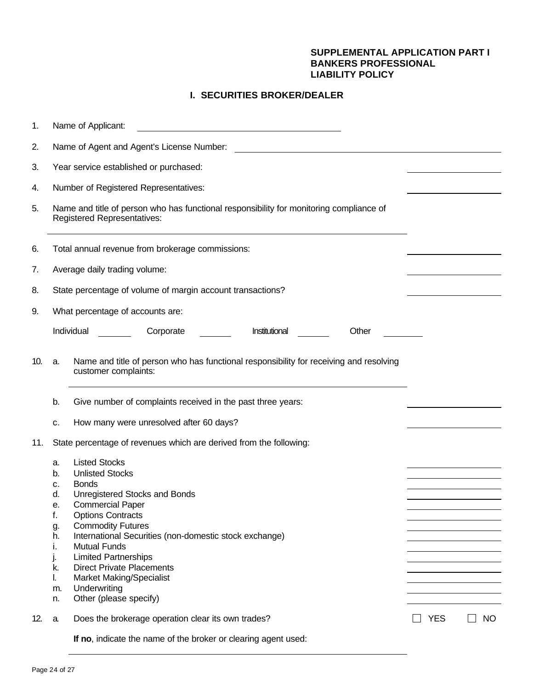## **SUPPLEMENTAL APPLICATION PART I BANKERS PROFESSIONAL LIABILITY POLICY**

# **I. SECURITIES BROKER/DEALER**

| 1.  |                                                                                  | Name of Applicant:                                                                                                                                                                                                                                                                                                                                                                                                  |                      |     |  |  |
|-----|----------------------------------------------------------------------------------|---------------------------------------------------------------------------------------------------------------------------------------------------------------------------------------------------------------------------------------------------------------------------------------------------------------------------------------------------------------------------------------------------------------------|----------------------|-----|--|--|
| 2.  | Name of Agent and Agent's License Number:                                        |                                                                                                                                                                                                                                                                                                                                                                                                                     |                      |     |  |  |
| 3.  |                                                                                  | Year service established or purchased:                                                                                                                                                                                                                                                                                                                                                                              |                      |     |  |  |
| 4.  |                                                                                  | Number of Registered Representatives:                                                                                                                                                                                                                                                                                                                                                                               |                      |     |  |  |
| 5.  |                                                                                  | Name and title of person who has functional responsibility for monitoring compliance of<br><b>Registered Representatives:</b>                                                                                                                                                                                                                                                                                       |                      |     |  |  |
| 6.  | Total annual revenue from brokerage commissions:                                 |                                                                                                                                                                                                                                                                                                                                                                                                                     |                      |     |  |  |
| 7.  |                                                                                  | Average daily trading volume:                                                                                                                                                                                                                                                                                                                                                                                       |                      |     |  |  |
| 8.  |                                                                                  | State percentage of volume of margin account transactions?                                                                                                                                                                                                                                                                                                                                                          |                      |     |  |  |
| 9.  |                                                                                  | What percentage of accounts are:                                                                                                                                                                                                                                                                                                                                                                                    |                      |     |  |  |
|     |                                                                                  | Individual<br>Corporate<br>Institutional<br>Other                                                                                                                                                                                                                                                                                                                                                                   |                      |     |  |  |
| 10. | a.                                                                               | Name and title of person who has functional responsibility for receiving and resolving<br>customer complaints:                                                                                                                                                                                                                                                                                                      |                      |     |  |  |
|     | b.                                                                               | Give number of complaints received in the past three years:                                                                                                                                                                                                                                                                                                                                                         |                      |     |  |  |
|     | c.                                                                               | How many were unresolved after 60 days?                                                                                                                                                                                                                                                                                                                                                                             |                      |     |  |  |
| 11. |                                                                                  | State percentage of revenues which are derived from the following:                                                                                                                                                                                                                                                                                                                                                  |                      |     |  |  |
|     | a.<br>b.<br>с.<br>d.<br>е.<br>f.<br>g.<br>h.<br>i.<br>j.<br>k.<br>I.<br>m.<br>n. | <b>Listed Stocks</b><br><b>Unlisted Stocks</b><br><b>Bonds</b><br>Unregistered Stocks and Bonds<br><b>Commercial Paper</b><br><b>Options Contracts</b><br><b>Commodity Futures</b><br>International Securities (non-domestic stock exchange)<br><b>Mutual Funds</b><br><b>Limited Partnerships</b><br><b>Direct Private Placements</b><br><b>Market Making/Specialist</b><br>Underwriting<br>Other (please specify) |                      |     |  |  |
| 12. | a.                                                                               | Does the brokerage operation clear its own trades?                                                                                                                                                                                                                                                                                                                                                                  | <b>YES</b><br>$\Box$ | NO. |  |  |
|     |                                                                                  | If no, indicate the name of the broker or clearing agent used:                                                                                                                                                                                                                                                                                                                                                      |                      |     |  |  |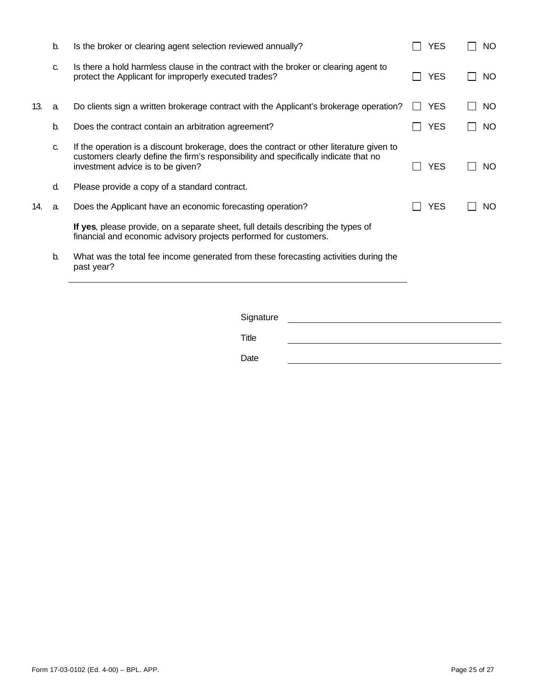| b.                                                                                                       | Is the broker or clearing agent selection reviewed annually? |  |                                                                                                                                                                                                                                                                                                                                                                                                                                                                                                                              | <b>NO</b>                                                                        |
|----------------------------------------------------------------------------------------------------------|--------------------------------------------------------------|--|------------------------------------------------------------------------------------------------------------------------------------------------------------------------------------------------------------------------------------------------------------------------------------------------------------------------------------------------------------------------------------------------------------------------------------------------------------------------------------------------------------------------------|----------------------------------------------------------------------------------|
| C.                                                                                                       | protect the Applicant for improperly executed trades?        |  |                                                                                                                                                                                                                                                                                                                                                                                                                                                                                                                              | <b>NO</b>                                                                        |
| a.                                                                                                       |                                                              |  | $\blacksquare$                                                                                                                                                                                                                                                                                                                                                                                                                                                                                                               | <b>NO</b>                                                                        |
| b.                                                                                                       | Does the contract contain an arbitration agreement?          |  |                                                                                                                                                                                                                                                                                                                                                                                                                                                                                                                              | NO                                                                               |
| C.                                                                                                       | investment advice is to be given?                            |  |                                                                                                                                                                                                                                                                                                                                                                                                                                                                                                                              | <b>NO</b>                                                                        |
| d.                                                                                                       | Please provide a copy of a standard contract.                |  |                                                                                                                                                                                                                                                                                                                                                                                                                                                                                                                              |                                                                                  |
| a.                                                                                                       | Does the Applicant have an economic forecasting operation?   |  |                                                                                                                                                                                                                                                                                                                                                                                                                                                                                                                              | <b>NO</b>                                                                        |
|                                                                                                          |                                                              |  |                                                                                                                                                                                                                                                                                                                                                                                                                                                                                                                              |                                                                                  |
| What was the total fee income generated from these forecasting activities during the<br>b.<br>past year? |                                                              |  |                                                                                                                                                                                                                                                                                                                                                                                                                                                                                                                              |                                                                                  |
|                                                                                                          |                                                              |  |                                                                                                                                                                                                                                                                                                                                                                                                                                                                                                                              |                                                                                  |
|                                                                                                          | Signature                                                    |  |                                                                                                                                                                                                                                                                                                                                                                                                                                                                                                                              |                                                                                  |
|                                                                                                          | <b>Title</b>                                                 |  |                                                                                                                                                                                                                                                                                                                                                                                                                                                                                                                              |                                                                                  |
|                                                                                                          |                                                              |  | Is there a hold harmless clause in the contract with the broker or clearing agent to<br>Do clients sign a written brokerage contract with the Applicant's brokerage operation?<br>If the operation is a discount brokerage, does the contract or other literature given to<br>customers clearly define the firm's responsibility and specifically indicate that no<br>If yes, please provide, on a separate sheet, full details describing the types of<br>financial and economic advisory projects performed for customers. | <b>YES</b><br><b>YES</b><br><b>YES</b><br><b>YES</b><br><b>YES</b><br><b>YES</b> |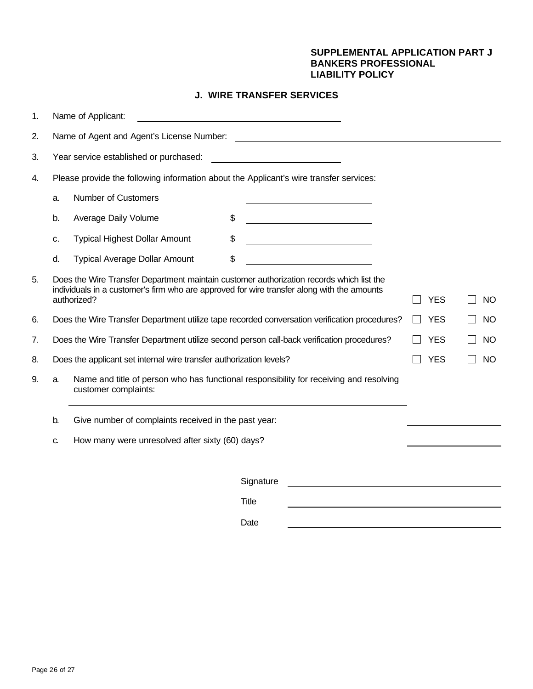## **SUPPLEMENTAL APPLICATION PART J BANKERS PROFESSIONAL LIABILITY POLICY**

# **J. WIRE TRANSFER SERVICES**

| 1. |                                                                                                                                                                                                       | Name of Applicant:                                                                     |                                                                                            |            |           |
|----|-------------------------------------------------------------------------------------------------------------------------------------------------------------------------------------------------------|----------------------------------------------------------------------------------------|--------------------------------------------------------------------------------------------|------------|-----------|
| 2. | Name of Agent and Agent's License Number:<br><u> 1980 - Johann Barbara, martxa alemaniar arg</u>                                                                                                      |                                                                                        |                                                                                            |            |           |
| 3. | Year service established or purchased:                                                                                                                                                                |                                                                                        |                                                                                            |            |           |
| 4. |                                                                                                                                                                                                       | Please provide the following information about the Applicant's wire transfer services: |                                                                                            |            |           |
|    | a.                                                                                                                                                                                                    | <b>Number of Customers</b>                                                             |                                                                                            |            |           |
|    | b.                                                                                                                                                                                                    | Average Daily Volume                                                                   | \$                                                                                         |            |           |
|    | с.                                                                                                                                                                                                    | <b>Typical Highest Dollar Amount</b>                                                   | $\boldsymbol{\mathsf{S}}$                                                                  |            |           |
|    | d.                                                                                                                                                                                                    | <b>Typical Average Dollar Amount</b>                                                   | \$                                                                                         |            |           |
| 5. | Does the Wire Transfer Department maintain customer authorization records which list the<br>individuals in a customer's firm who are approved for wire transfer along with the amounts<br>authorized? |                                                                                        |                                                                                            |            | <b>NO</b> |
| 6. | Does the Wire Transfer Department utilize tape recorded conversation verification procedures?                                                                                                         |                                                                                        |                                                                                            |            | <b>NO</b> |
| 7. |                                                                                                                                                                                                       |                                                                                        | Does the Wire Transfer Department utilize second person call-back verification procedures? | <b>YES</b> | <b>NO</b> |
| 8. |                                                                                                                                                                                                       | Does the applicant set internal wire transfer authorization levels?                    |                                                                                            | <b>YES</b> | <b>NO</b> |
| 9. | a.                                                                                                                                                                                                    | customer complaints:                                                                   | Name and title of person who has functional responsibility for receiving and resolving     |            |           |
|    | b.                                                                                                                                                                                                    | Give number of complaints received in the past year:                                   |                                                                                            |            |           |
|    | C.                                                                                                                                                                                                    | How many were unresolved after sixty (60) days?                                        |                                                                                            |            |           |
|    |                                                                                                                                                                                                       |                                                                                        |                                                                                            |            |           |
|    |                                                                                                                                                                                                       |                                                                                        | Signature                                                                                  |            |           |
|    |                                                                                                                                                                                                       |                                                                                        | <b>Title</b>                                                                               |            |           |
|    |                                                                                                                                                                                                       |                                                                                        | Date                                                                                       |            |           |